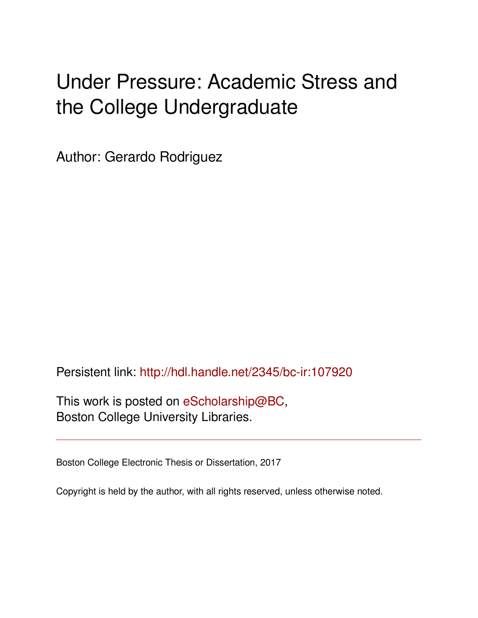# Under Pressure: Academic Stress and the College Undergraduate

Author: Gerardo Rodriguez

Persistent link: <http://hdl.handle.net/2345/bc-ir:107920>

This work is posted on [eScholarship@BC](http://escholarship.bc.edu), Boston College University Libraries.

Boston College Electronic Thesis or Dissertation, 2017

Copyright is held by the author, with all rights reserved, unless otherwise noted.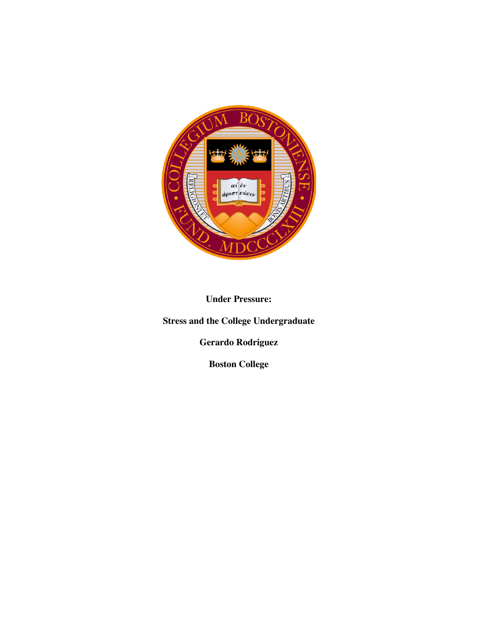

**Under Pressure:**

**Stress and the College Undergraduate**

**Gerardo Rodriguez**

**Boston College**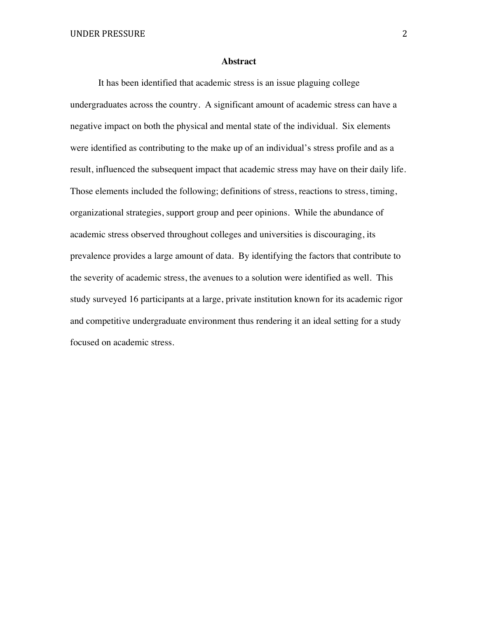#### **Abstract**

It has been identified that academic stress is an issue plaguing college undergraduates across the country. A significant amount of academic stress can have a negative impact on both the physical and mental state of the individual. Six elements were identified as contributing to the make up of an individual's stress profile and as a result, influenced the subsequent impact that academic stress may have on their daily life. Those elements included the following; definitions of stress, reactions to stress, timing, organizational strategies, support group and peer opinions. While the abundance of academic stress observed throughout colleges and universities is discouraging, its prevalence provides a large amount of data. By identifying the factors that contribute to the severity of academic stress, the avenues to a solution were identified as well. This study surveyed 16 participants at a large, private institution known for its academic rigor and competitive undergraduate environment thus rendering it an ideal setting for a study focused on academic stress.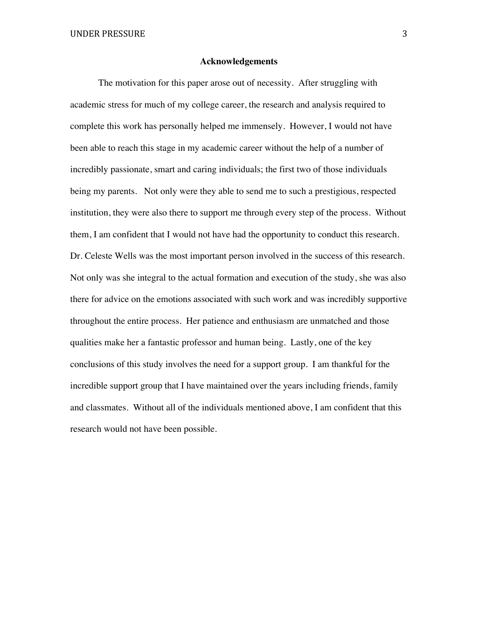#### **Acknowledgements**

The motivation for this paper arose out of necessity. After struggling with academic stress for much of my college career, the research and analysis required to complete this work has personally helped me immensely. However, I would not have been able to reach this stage in my academic career without the help of a number of incredibly passionate, smart and caring individuals; the first two of those individuals being my parents. Not only were they able to send me to such a prestigious, respected institution, they were also there to support me through every step of the process. Without them, I am confident that I would not have had the opportunity to conduct this research. Dr. Celeste Wells was the most important person involved in the success of this research. Not only was she integral to the actual formation and execution of the study, she was also there for advice on the emotions associated with such work and was incredibly supportive throughout the entire process. Her patience and enthusiasm are unmatched and those qualities make her a fantastic professor and human being. Lastly, one of the key conclusions of this study involves the need for a support group. I am thankful for the incredible support group that I have maintained over the years including friends, family and classmates. Without all of the individuals mentioned above, I am confident that this research would not have been possible.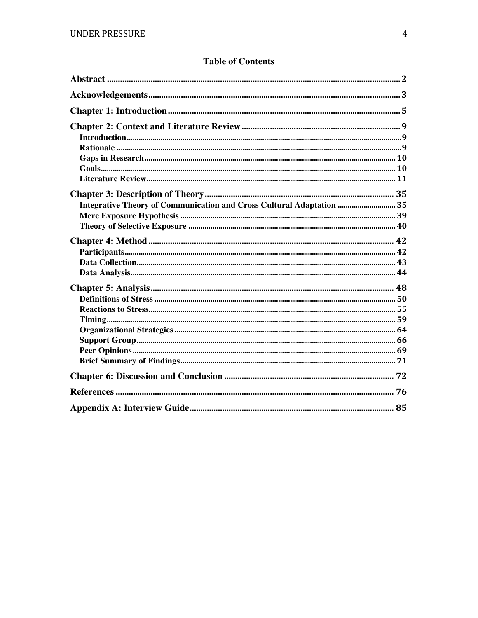|  |  | <b>Table of Contents</b> |
|--|--|--------------------------|
|--|--|--------------------------|

| Integrative Theory of Communication and Cross Cultural Adaptation  35 |  |
|-----------------------------------------------------------------------|--|
|                                                                       |  |
|                                                                       |  |
|                                                                       |  |
|                                                                       |  |
|                                                                       |  |
|                                                                       |  |
|                                                                       |  |
|                                                                       |  |
|                                                                       |  |
|                                                                       |  |
|                                                                       |  |
|                                                                       |  |
|                                                                       |  |
|                                                                       |  |
|                                                                       |  |
|                                                                       |  |
|                                                                       |  |
|                                                                       |  |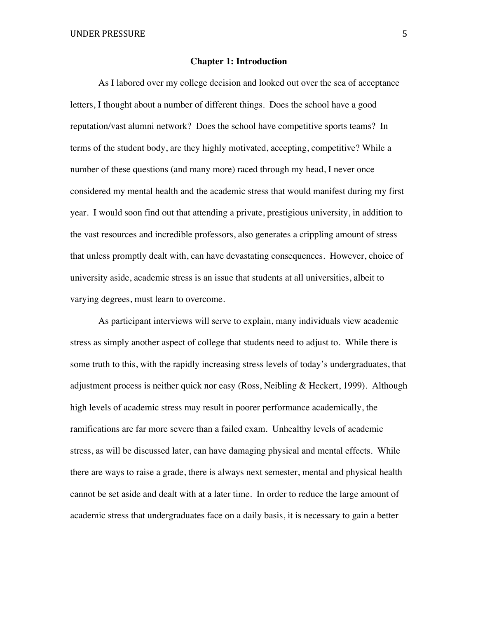#### **Chapter 1: Introduction**

As I labored over my college decision and looked out over the sea of acceptance letters, I thought about a number of different things. Does the school have a good reputation/vast alumni network? Does the school have competitive sports teams? In terms of the student body, are they highly motivated, accepting, competitive? While a number of these questions (and many more) raced through my head, I never once considered my mental health and the academic stress that would manifest during my first year. I would soon find out that attending a private, prestigious university, in addition to the vast resources and incredible professors, also generates a crippling amount of stress that unless promptly dealt with, can have devastating consequences. However, choice of university aside, academic stress is an issue that students at all universities, albeit to varying degrees, must learn to overcome.

As participant interviews will serve to explain, many individuals view academic stress as simply another aspect of college that students need to adjust to. While there is some truth to this, with the rapidly increasing stress levels of today's undergraduates, that adjustment process is neither quick nor easy (Ross, Neibling & Heckert, 1999). Although high levels of academic stress may result in poorer performance academically, the ramifications are far more severe than a failed exam. Unhealthy levels of academic stress, as will be discussed later, can have damaging physical and mental effects. While there are ways to raise a grade, there is always next semester, mental and physical health cannot be set aside and dealt with at a later time. In order to reduce the large amount of academic stress that undergraduates face on a daily basis, it is necessary to gain a better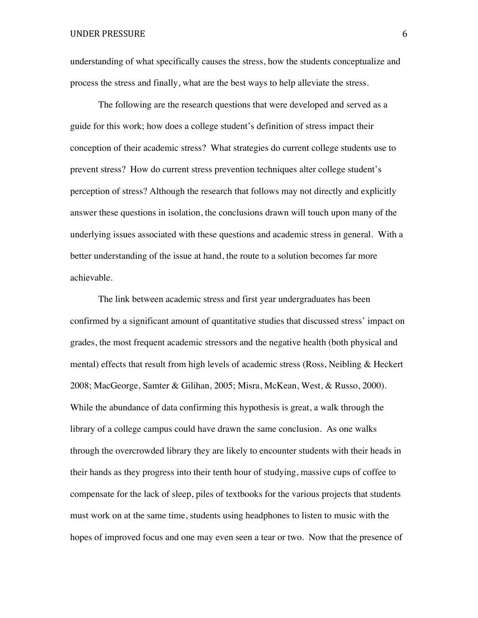understanding of what specifically causes the stress, how the students conceptualize and process the stress and finally, what are the best ways to help alleviate the stress.

The following are the research questions that were developed and served as a guide for this work; how does a college student's definition of stress impact their conception of their academic stress? What strategies do current college students use to prevent stress? How do current stress prevention techniques alter college student's perception of stress? Although the research that follows may not directly and explicitly answer these questions in isolation, the conclusions drawn will touch upon many of the underlying issues associated with these questions and academic stress in general. With a better understanding of the issue at hand, the route to a solution becomes far more achievable.

The link between academic stress and first year undergraduates has been confirmed by a significant amount of quantitative studies that discussed stress' impact on grades, the most frequent academic stressors and the negative health (both physical and mental) effects that result from high levels of academic stress (Ross, Neibling & Heckert 2008; MacGeorge, Samter & Gilihan, 2005; Misra, McKean, West, & Russo, 2000). While the abundance of data confirming this hypothesis is great, a walk through the library of a college campus could have drawn the same conclusion. As one walks through the overcrowded library they are likely to encounter students with their heads in their hands as they progress into their tenth hour of studying, massive cups of coffee to compensate for the lack of sleep, piles of textbooks for the various projects that students must work on at the same time, students using headphones to listen to music with the hopes of improved focus and one may even seen a tear or two. Now that the presence of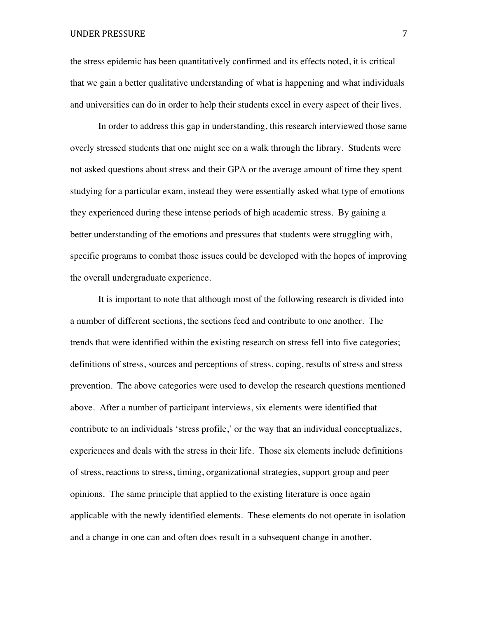#### UNDER PRESSURE 7

the stress epidemic has been quantitatively confirmed and its effects noted, it is critical that we gain a better qualitative understanding of what is happening and what individuals and universities can do in order to help their students excel in every aspect of their lives.

In order to address this gap in understanding, this research interviewed those same overly stressed students that one might see on a walk through the library. Students were not asked questions about stress and their GPA or the average amount of time they spent studying for a particular exam, instead they were essentially asked what type of emotions they experienced during these intense periods of high academic stress. By gaining a better understanding of the emotions and pressures that students were struggling with, specific programs to combat those issues could be developed with the hopes of improving the overall undergraduate experience.

It is important to note that although most of the following research is divided into a number of different sections, the sections feed and contribute to one another. The trends that were identified within the existing research on stress fell into five categories; definitions of stress, sources and perceptions of stress, coping, results of stress and stress prevention. The above categories were used to develop the research questions mentioned above. After a number of participant interviews, six elements were identified that contribute to an individuals 'stress profile,' or the way that an individual conceptualizes, experiences and deals with the stress in their life. Those six elements include definitions of stress, reactions to stress, timing, organizational strategies, support group and peer opinions. The same principle that applied to the existing literature is once again applicable with the newly identified elements. These elements do not operate in isolation and a change in one can and often does result in a subsequent change in another.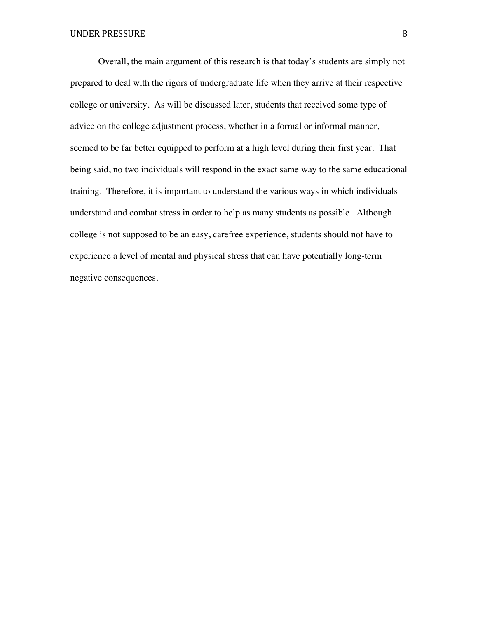Overall, the main argument of this research is that today's students are simply not prepared to deal with the rigors of undergraduate life when they arrive at their respective college or university. As will be discussed later, students that received some type of advice on the college adjustment process, whether in a formal or informal manner, seemed to be far better equipped to perform at a high level during their first year. That being said, no two individuals will respond in the exact same way to the same educational training. Therefore, it is important to understand the various ways in which individuals understand and combat stress in order to help as many students as possible. Although college is not supposed to be an easy, carefree experience, students should not have to experience a level of mental and physical stress that can have potentially long-term negative consequences.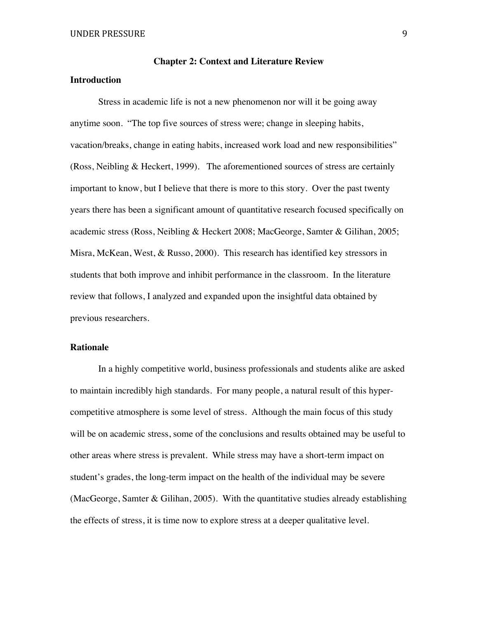# **Introduction**

Stress in academic life is not a new phenomenon nor will it be going away anytime soon. "The top five sources of stress were; change in sleeping habits, vacation/breaks, change in eating habits, increased work load and new responsibilities" (Ross, Neibling & Heckert, 1999). The aforementioned sources of stress are certainly important to know, but I believe that there is more to this story. Over the past twenty years there has been a significant amount of quantitative research focused specifically on academic stress (Ross, Neibling & Heckert 2008; MacGeorge, Samter & Gilihan, 2005; Misra, McKean, West, & Russo, 2000). This research has identified key stressors in students that both improve and inhibit performance in the classroom. In the literature review that follows, I analyzed and expanded upon the insightful data obtained by previous researchers.

# **Rationale**

In a highly competitive world, business professionals and students alike are asked to maintain incredibly high standards. For many people, a natural result of this hypercompetitive atmosphere is some level of stress. Although the main focus of this study will be on academic stress, some of the conclusions and results obtained may be useful to other areas where stress is prevalent. While stress may have a short-term impact on student's grades, the long-term impact on the health of the individual may be severe (MacGeorge, Samter & Gilihan, 2005). With the quantitative studies already establishing the effects of stress, it is time now to explore stress at a deeper qualitative level.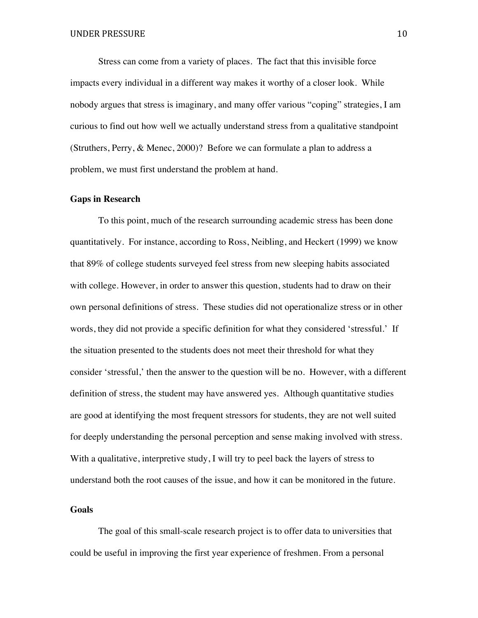Stress can come from a variety of places. The fact that this invisible force impacts every individual in a different way makes it worthy of a closer look. While nobody argues that stress is imaginary, and many offer various "coping" strategies, I am curious to find out how well we actually understand stress from a qualitative standpoint (Struthers, Perry, & Menec, 2000)? Before we can formulate a plan to address a problem, we must first understand the problem at hand.

#### **Gaps in Research**

To this point, much of the research surrounding academic stress has been done quantitatively. For instance, according to Ross, Neibling, and Heckert (1999) we know that 89% of college students surveyed feel stress from new sleeping habits associated with college. However, in order to answer this question, students had to draw on their own personal definitions of stress. These studies did not operationalize stress or in other words, they did not provide a specific definition for what they considered 'stressful.' If the situation presented to the students does not meet their threshold for what they consider 'stressful,' then the answer to the question will be no. However, with a different definition of stress, the student may have answered yes. Although quantitative studies are good at identifying the most frequent stressors for students, they are not well suited for deeply understanding the personal perception and sense making involved with stress. With a qualitative, interpretive study, I will try to peel back the layers of stress to understand both the root causes of the issue, and how it can be monitored in the future.

#### **Goals**

The goal of this small-scale research project is to offer data to universities that could be useful in improving the first year experience of freshmen. From a personal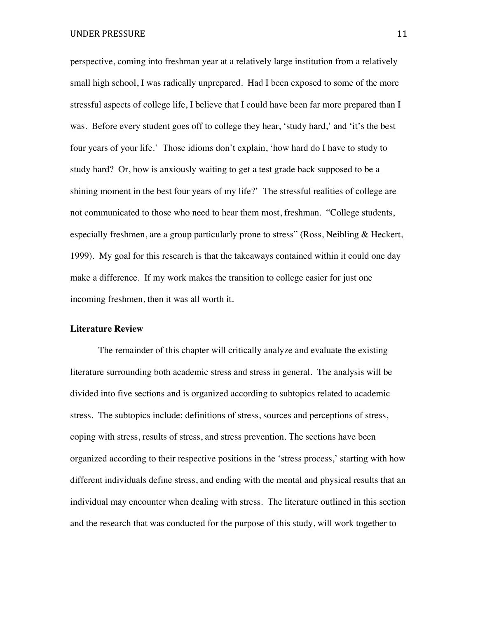UNDER PRESSURE 11

perspective, coming into freshman year at a relatively large institution from a relatively small high school, I was radically unprepared. Had I been exposed to some of the more stressful aspects of college life, I believe that I could have been far more prepared than I was. Before every student goes off to college they hear, 'study hard,' and 'it's the best four years of your life.' Those idioms don't explain, 'how hard do I have to study to study hard? Or, how is anxiously waiting to get a test grade back supposed to be a shining moment in the best four years of my life?' The stressful realities of college are not communicated to those who need to hear them most, freshman. "College students, especially freshmen, are a group particularly prone to stress" (Ross, Neibling & Heckert, 1999). My goal for this research is that the takeaways contained within it could one day make a difference. If my work makes the transition to college easier for just one incoming freshmen, then it was all worth it.

# **Literature Review**

The remainder of this chapter will critically analyze and evaluate the existing literature surrounding both academic stress and stress in general. The analysis will be divided into five sections and is organized according to subtopics related to academic stress. The subtopics include: definitions of stress, sources and perceptions of stress, coping with stress, results of stress, and stress prevention. The sections have been organized according to their respective positions in the 'stress process,' starting with how different individuals define stress, and ending with the mental and physical results that an individual may encounter when dealing with stress. The literature outlined in this section and the research that was conducted for the purpose of this study, will work together to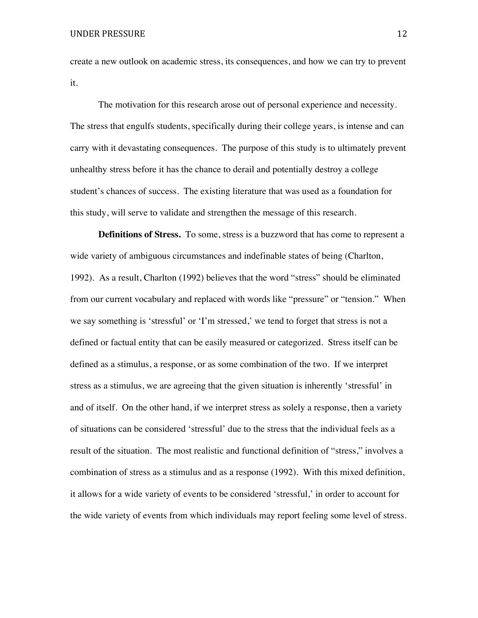create a new outlook on academic stress, its consequences, and how we can try to prevent it.

The motivation for this research arose out of personal experience and necessity. The stress that engulfs students, specifically during their college years, is intense and can carry with it devastating consequences. The purpose of this study is to ultimately prevent unhealthy stress before it has the chance to derail and potentially destroy a college student's chances of success. The existing literature that was used as a foundation for this study, will serve to validate and strengthen the message of this research.

**Definitions of Stress.** To some, stress is a buzzword that has come to represent a wide variety of ambiguous circumstances and indefinable states of being (Charlton, 1992). As a result, Charlton (1992) believes that the word "stress" should be eliminated from our current vocabulary and replaced with words like "pressure" or "tension." When we say something is 'stressful' or 'I'm stressed,' we tend to forget that stress is not a defined or factual entity that can be easily measured or categorized. Stress itself can be defined as a stimulus, a response, or as some combination of the two. If we interpret stress as a stimulus, we are agreeing that the given situation is inherently 'stressful' in and of itself. On the other hand, if we interpret stress as solely a response, then a variety of situations can be considered 'stressful' due to the stress that the individual feels as a result of the situation. The most realistic and functional definition of "stress," involves a combination of stress as a stimulus and as a response (1992). With this mixed definition, it allows for a wide variety of events to be considered 'stressful,' in order to account for the wide variety of events from which individuals may report feeling some level of stress.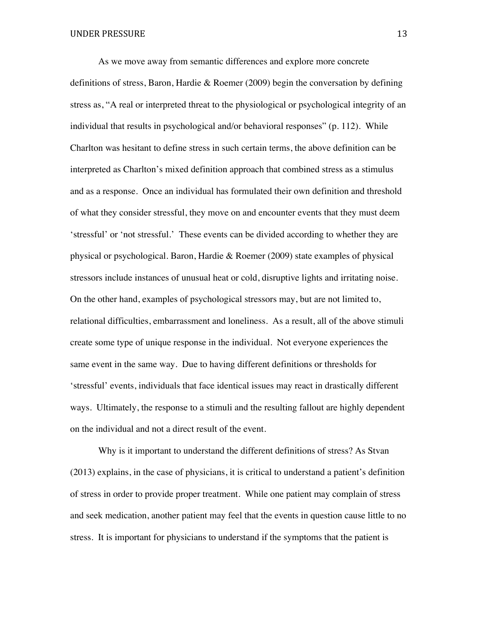As we move away from semantic differences and explore more concrete definitions of stress, Baron, Hardie & Roemer (2009) begin the conversation by defining stress as, "A real or interpreted threat to the physiological or psychological integrity of an individual that results in psychological and/or behavioral responses" (p. 112). While Charlton was hesitant to define stress in such certain terms, the above definition can be interpreted as Charlton's mixed definition approach that combined stress as a stimulus and as a response. Once an individual has formulated their own definition and threshold of what they consider stressful, they move on and encounter events that they must deem 'stressful' or 'not stressful.' These events can be divided according to whether they are physical or psychological. Baron, Hardie & Roemer (2009) state examples of physical stressors include instances of unusual heat or cold, disruptive lights and irritating noise. On the other hand, examples of psychological stressors may, but are not limited to, relational difficulties, embarrassment and loneliness. As a result, all of the above stimuli create some type of unique response in the individual. Not everyone experiences the same event in the same way. Due to having different definitions or thresholds for 'stressful' events, individuals that face identical issues may react in drastically different ways. Ultimately, the response to a stimuli and the resulting fallout are highly dependent on the individual and not a direct result of the event.

Why is it important to understand the different definitions of stress? As Stvan (2013) explains, in the case of physicians, it is critical to understand a patient's definition of stress in order to provide proper treatment. While one patient may complain of stress and seek medication, another patient may feel that the events in question cause little to no stress. It is important for physicians to understand if the symptoms that the patient is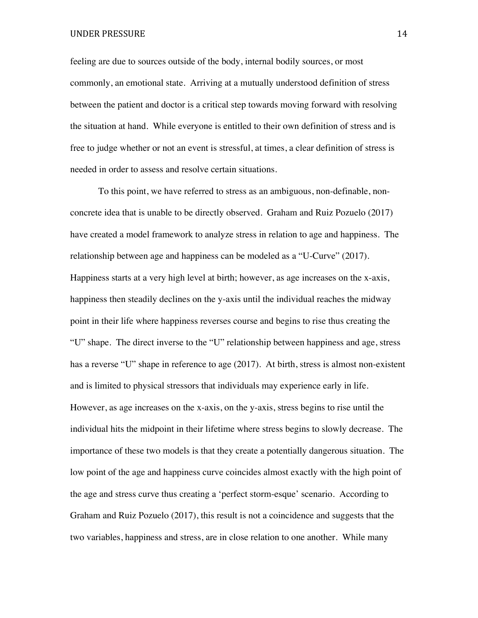feeling are due to sources outside of the body, internal bodily sources, or most commonly, an emotional state. Arriving at a mutually understood definition of stress between the patient and doctor is a critical step towards moving forward with resolving the situation at hand. While everyone is entitled to their own definition of stress and is free to judge whether or not an event is stressful, at times, a clear definition of stress is needed in order to assess and resolve certain situations.

To this point, we have referred to stress as an ambiguous, non-definable, nonconcrete idea that is unable to be directly observed. Graham and Ruiz Pozuelo (2017) have created a model framework to analyze stress in relation to age and happiness. The relationship between age and happiness can be modeled as a "U-Curve" (2017). Happiness starts at a very high level at birth; however, as age increases on the x-axis, happiness then steadily declines on the y-axis until the individual reaches the midway point in their life where happiness reverses course and begins to rise thus creating the "U" shape. The direct inverse to the "U" relationship between happiness and age, stress has a reverse "U" shape in reference to age (2017). At birth, stress is almost non-existent and is limited to physical stressors that individuals may experience early in life. However, as age increases on the x-axis, on the y-axis, stress begins to rise until the individual hits the midpoint in their lifetime where stress begins to slowly decrease. The importance of these two models is that they create a potentially dangerous situation. The low point of the age and happiness curve coincides almost exactly with the high point of the age and stress curve thus creating a 'perfect storm-esque' scenario. According to Graham and Ruiz Pozuelo (2017), this result is not a coincidence and suggests that the two variables, happiness and stress, are in close relation to one another. While many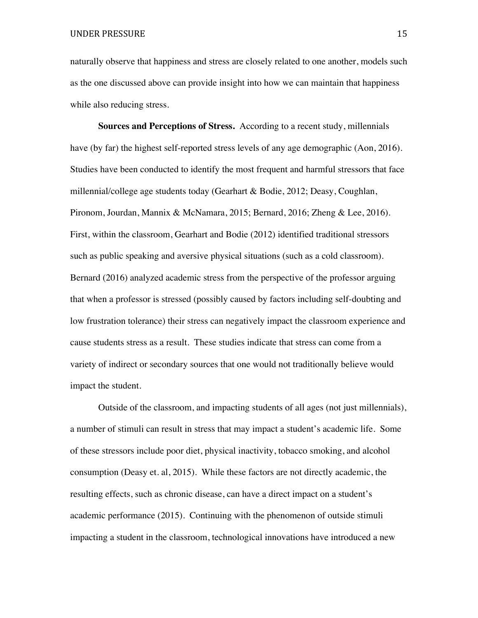naturally observe that happiness and stress are closely related to one another, models such as the one discussed above can provide insight into how we can maintain that happiness while also reducing stress.

**Sources and Perceptions of Stress.** According to a recent study, millennials have (by far) the highest self-reported stress levels of any age demographic (Aon, 2016). Studies have been conducted to identify the most frequent and harmful stressors that face millennial/college age students today (Gearhart & Bodie, 2012; Deasy, Coughlan, Pironom, Jourdan, Mannix & McNamara, 2015; Bernard, 2016; Zheng & Lee, 2016). First, within the classroom, Gearhart and Bodie (2012) identified traditional stressors such as public speaking and aversive physical situations (such as a cold classroom). Bernard (2016) analyzed academic stress from the perspective of the professor arguing that when a professor is stressed (possibly caused by factors including self-doubting and low frustration tolerance) their stress can negatively impact the classroom experience and cause students stress as a result. These studies indicate that stress can come from a variety of indirect or secondary sources that one would not traditionally believe would impact the student.

Outside of the classroom, and impacting students of all ages (not just millennials), a number of stimuli can result in stress that may impact a student's academic life. Some of these stressors include poor diet, physical inactivity, tobacco smoking, and alcohol consumption (Deasy et. al, 2015). While these factors are not directly academic, the resulting effects, such as chronic disease, can have a direct impact on a student's academic performance (2015). Continuing with the phenomenon of outside stimuli impacting a student in the classroom, technological innovations have introduced a new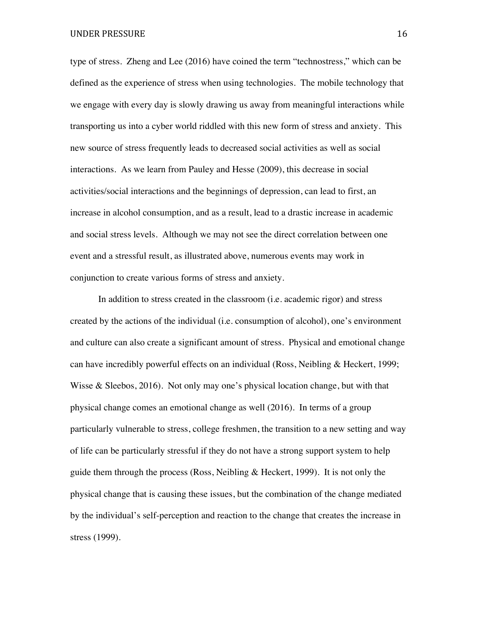type of stress. Zheng and Lee (2016) have coined the term "technostress," which can be defined as the experience of stress when using technologies. The mobile technology that we engage with every day is slowly drawing us away from meaningful interactions while transporting us into a cyber world riddled with this new form of stress and anxiety. This new source of stress frequently leads to decreased social activities as well as social interactions. As we learn from Pauley and Hesse (2009), this decrease in social activities/social interactions and the beginnings of depression, can lead to first, an increase in alcohol consumption, and as a result, lead to a drastic increase in academic and social stress levels. Although we may not see the direct correlation between one event and a stressful result, as illustrated above, numerous events may work in conjunction to create various forms of stress and anxiety.

In addition to stress created in the classroom (i.e. academic rigor) and stress created by the actions of the individual (i.e. consumption of alcohol), one's environment and culture can also create a significant amount of stress. Physical and emotional change can have incredibly powerful effects on an individual (Ross, Neibling & Heckert, 1999; Wisse & Sleebos, 2016). Not only may one's physical location change, but with that physical change comes an emotional change as well (2016). In terms of a group particularly vulnerable to stress, college freshmen, the transition to a new setting and way of life can be particularly stressful if they do not have a strong support system to help guide them through the process (Ross, Neibling & Heckert, 1999). It is not only the physical change that is causing these issues, but the combination of the change mediated by the individual's self-perception and reaction to the change that creates the increase in stress (1999).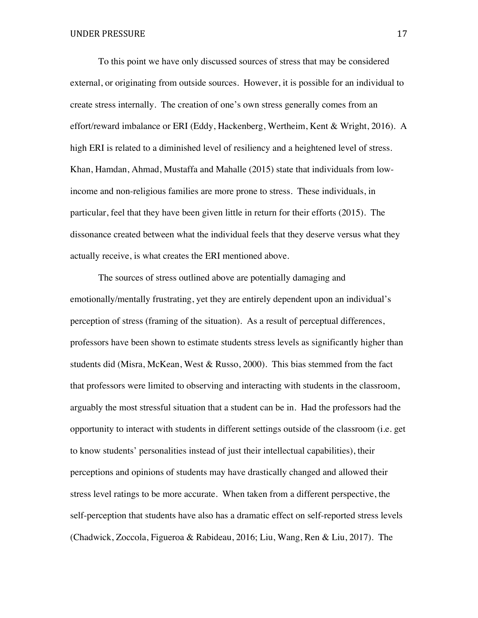To this point we have only discussed sources of stress that may be considered external, or originating from outside sources. However, it is possible for an individual to create stress internally. The creation of one's own stress generally comes from an effort/reward imbalance or ERI (Eddy, Hackenberg, Wertheim, Kent & Wright, 2016). A high ERI is related to a diminished level of resiliency and a heightened level of stress. Khan, Hamdan, Ahmad, Mustaffa and Mahalle (2015) state that individuals from lowincome and non-religious families are more prone to stress. These individuals, in particular, feel that they have been given little in return for their efforts (2015). The dissonance created between what the individual feels that they deserve versus what they actually receive, is what creates the ERI mentioned above.

The sources of stress outlined above are potentially damaging and emotionally/mentally frustrating, yet they are entirely dependent upon an individual's perception of stress (framing of the situation). As a result of perceptual differences, professors have been shown to estimate students stress levels as significantly higher than students did (Misra, McKean, West & Russo, 2000). This bias stemmed from the fact that professors were limited to observing and interacting with students in the classroom, arguably the most stressful situation that a student can be in. Had the professors had the opportunity to interact with students in different settings outside of the classroom (i.e. get to know students' personalities instead of just their intellectual capabilities), their perceptions and opinions of students may have drastically changed and allowed their stress level ratings to be more accurate. When taken from a different perspective, the self-perception that students have also has a dramatic effect on self-reported stress levels (Chadwick, Zoccola, Figueroa & Rabideau, 2016; Liu, Wang, Ren & Liu, 2017). The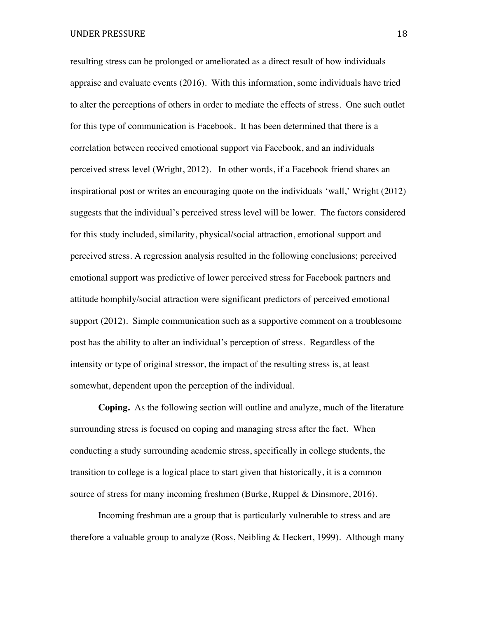resulting stress can be prolonged or ameliorated as a direct result of how individuals appraise and evaluate events (2016). With this information, some individuals have tried to alter the perceptions of others in order to mediate the effects of stress. One such outlet for this type of communication is Facebook. It has been determined that there is a correlation between received emotional support via Facebook, and an individuals perceived stress level (Wright, 2012). In other words, if a Facebook friend shares an inspirational post or writes an encouraging quote on the individuals 'wall,' Wright (2012) suggests that the individual's perceived stress level will be lower. The factors considered for this study included, similarity, physical/social attraction, emotional support and perceived stress. A regression analysis resulted in the following conclusions; perceived emotional support was predictive of lower perceived stress for Facebook partners and attitude homphily/social attraction were significant predictors of perceived emotional support (2012). Simple communication such as a supportive comment on a troublesome post has the ability to alter an individual's perception of stress. Regardless of the intensity or type of original stressor, the impact of the resulting stress is, at least somewhat, dependent upon the perception of the individual.

**Coping.** As the following section will outline and analyze, much of the literature surrounding stress is focused on coping and managing stress after the fact. When conducting a study surrounding academic stress, specifically in college students, the transition to college is a logical place to start given that historically, it is a common source of stress for many incoming freshmen (Burke, Ruppel & Dinsmore, 2016).

Incoming freshman are a group that is particularly vulnerable to stress and are therefore a valuable group to analyze (Ross, Neibling & Heckert, 1999). Although many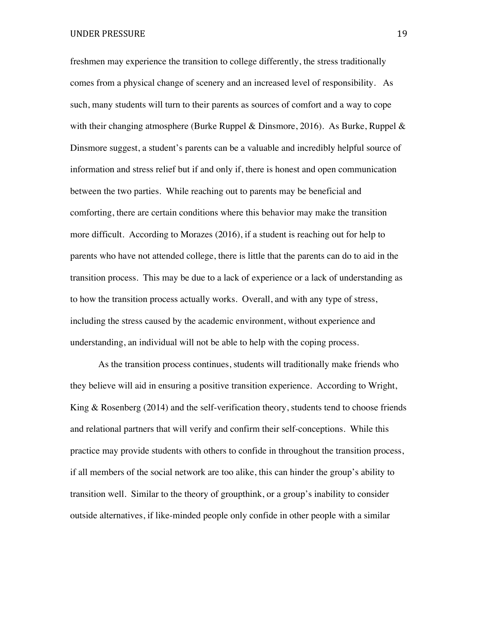UNDER PRESSURE 19

freshmen may experience the transition to college differently, the stress traditionally comes from a physical change of scenery and an increased level of responsibility. As such, many students will turn to their parents as sources of comfort and a way to cope with their changing atmosphere (Burke Ruppel & Dinsmore, 2016). As Burke, Ruppel & Dinsmore suggest, a student's parents can be a valuable and incredibly helpful source of information and stress relief but if and only if, there is honest and open communication between the two parties. While reaching out to parents may be beneficial and comforting, there are certain conditions where this behavior may make the transition more difficult. According to Morazes (2016), if a student is reaching out for help to parents who have not attended college, there is little that the parents can do to aid in the transition process. This may be due to a lack of experience or a lack of understanding as to how the transition process actually works. Overall, and with any type of stress, including the stress caused by the academic environment, without experience and understanding, an individual will not be able to help with the coping process.

As the transition process continues, students will traditionally make friends who they believe will aid in ensuring a positive transition experience. According to Wright, King & Rosenberg (2014) and the self-verification theory, students tend to choose friends and relational partners that will verify and confirm their self-conceptions. While this practice may provide students with others to confide in throughout the transition process, if all members of the social network are too alike, this can hinder the group's ability to transition well. Similar to the theory of groupthink, or a group's inability to consider outside alternatives, if like-minded people only confide in other people with a similar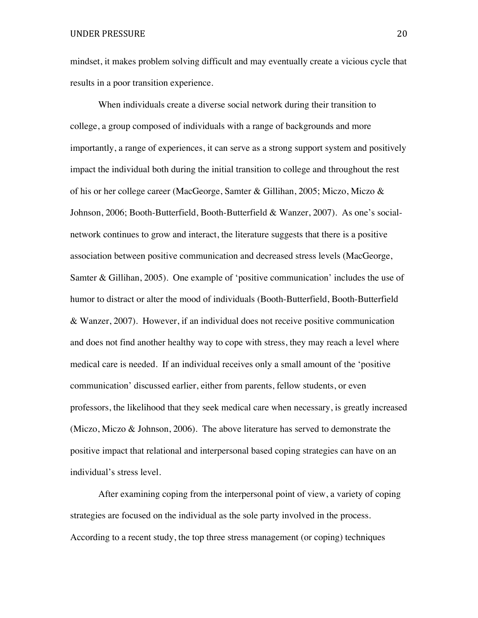mindset, it makes problem solving difficult and may eventually create a vicious cycle that results in a poor transition experience.

When individuals create a diverse social network during their transition to college, a group composed of individuals with a range of backgrounds and more importantly, a range of experiences, it can serve as a strong support system and positively impact the individual both during the initial transition to college and throughout the rest of his or her college career (MacGeorge, Samter & Gillihan, 2005; Miczo, Miczo & Johnson, 2006; Booth-Butterfield, Booth-Butterfield & Wanzer, 2007). As one's socialnetwork continues to grow and interact, the literature suggests that there is a positive association between positive communication and decreased stress levels (MacGeorge, Samter & Gillihan, 2005). One example of 'positive communication' includes the use of humor to distract or alter the mood of individuals (Booth-Butterfield, Booth-Butterfield & Wanzer, 2007). However, if an individual does not receive positive communication and does not find another healthy way to cope with stress, they may reach a level where medical care is needed. If an individual receives only a small amount of the 'positive communication' discussed earlier, either from parents, fellow students, or even professors, the likelihood that they seek medical care when necessary, is greatly increased (Miczo, Miczo & Johnson, 2006). The above literature has served to demonstrate the positive impact that relational and interpersonal based coping strategies can have on an individual's stress level.

After examining coping from the interpersonal point of view, a variety of coping strategies are focused on the individual as the sole party involved in the process. According to a recent study, the top three stress management (or coping) techniques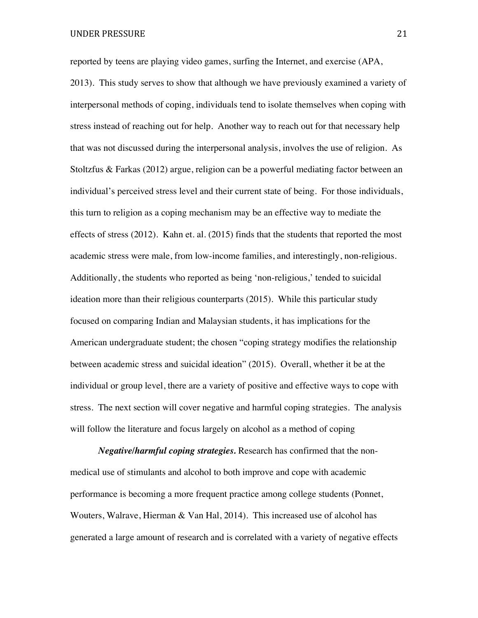UNDER PRESSURE 21

reported by teens are playing video games, surfing the Internet, and exercise (APA, 2013). This study serves to show that although we have previously examined a variety of interpersonal methods of coping, individuals tend to isolate themselves when coping with stress instead of reaching out for help. Another way to reach out for that necessary help that was not discussed during the interpersonal analysis, involves the use of religion. As Stoltzfus & Farkas (2012) argue, religion can be a powerful mediating factor between an individual's perceived stress level and their current state of being. For those individuals, this turn to religion as a coping mechanism may be an effective way to mediate the effects of stress (2012). Kahn et. al. (2015) finds that the students that reported the most academic stress were male, from low-income families, and interestingly, non-religious. Additionally, the students who reported as being 'non-religious,' tended to suicidal ideation more than their religious counterparts (2015). While this particular study focused on comparing Indian and Malaysian students, it has implications for the American undergraduate student; the chosen "coping strategy modifies the relationship between academic stress and suicidal ideation" (2015). Overall, whether it be at the individual or group level, there are a variety of positive and effective ways to cope with stress. The next section will cover negative and harmful coping strategies. The analysis will follow the literature and focus largely on alcohol as a method of coping

*Negative/harmful coping strategies.* Research has confirmed that the nonmedical use of stimulants and alcohol to both improve and cope with academic performance is becoming a more frequent practice among college students (Ponnet, Wouters, Walrave, Hierman  $&$  Van Hal, 2014). This increased use of alcohol has generated a large amount of research and is correlated with a variety of negative effects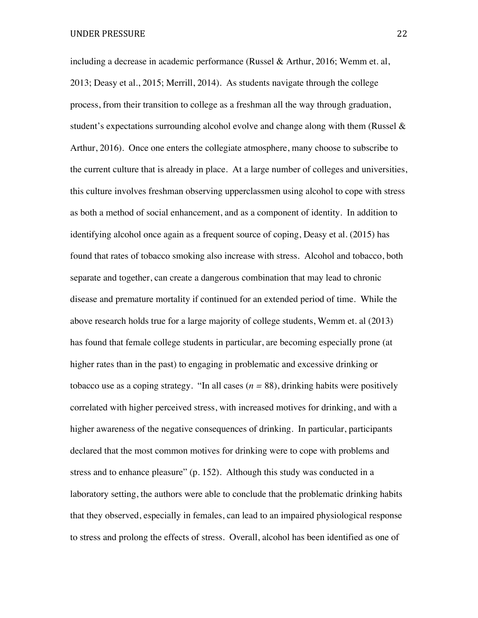including a decrease in academic performance (Russel & Arthur, 2016; Wemm et. al, 2013; Deasy et al., 2015; Merrill, 2014). As students navigate through the college process, from their transition to college as a freshman all the way through graduation, student's expectations surrounding alcohol evolve and change along with them (Russel  $\&$ Arthur, 2016). Once one enters the collegiate atmosphere, many choose to subscribe to the current culture that is already in place. At a large number of colleges and universities, this culture involves freshman observing upperclassmen using alcohol to cope with stress as both a method of social enhancement, and as a component of identity. In addition to identifying alcohol once again as a frequent source of coping, Deasy et al. (2015) has found that rates of tobacco smoking also increase with stress. Alcohol and tobacco, both separate and together, can create a dangerous combination that may lead to chronic disease and premature mortality if continued for an extended period of time. While the above research holds true for a large majority of college students, Wemm et. al (2013) has found that female college students in particular, are becoming especially prone (at higher rates than in the past) to engaging in problematic and excessive drinking or tobacco use as a coping strategy. "In all cases  $(n = 88)$ , drinking habits were positively correlated with higher perceived stress, with increased motives for drinking, and with a higher awareness of the negative consequences of drinking. In particular, participants declared that the most common motives for drinking were to cope with problems and stress and to enhance pleasure" (p. 152). Although this study was conducted in a laboratory setting, the authors were able to conclude that the problematic drinking habits that they observed, especially in females, can lead to an impaired physiological response to stress and prolong the effects of stress. Overall, alcohol has been identified as one of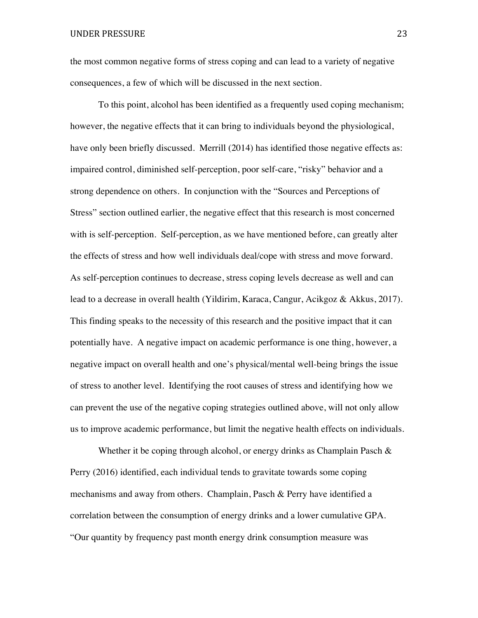UNDER PRESSURE 23

the most common negative forms of stress coping and can lead to a variety of negative consequences, a few of which will be discussed in the next section.

To this point, alcohol has been identified as a frequently used coping mechanism; however, the negative effects that it can bring to individuals beyond the physiological, have only been briefly discussed. Merrill (2014) has identified those negative effects as: impaired control, diminished self-perception, poor self-care, "risky" behavior and a strong dependence on others. In conjunction with the "Sources and Perceptions of Stress" section outlined earlier, the negative effect that this research is most concerned with is self-perception. Self-perception, as we have mentioned before, can greatly alter the effects of stress and how well individuals deal/cope with stress and move forward. As self-perception continues to decrease, stress coping levels decrease as well and can lead to a decrease in overall health (Yildirim, Karaca, Cangur, Acikgoz & Akkus, 2017). This finding speaks to the necessity of this research and the positive impact that it can potentially have. A negative impact on academic performance is one thing, however, a negative impact on overall health and one's physical/mental well-being brings the issue of stress to another level. Identifying the root causes of stress and identifying how we can prevent the use of the negative coping strategies outlined above, will not only allow us to improve academic performance, but limit the negative health effects on individuals.

Whether it be coping through alcohol, or energy drinks as Champlain Pasch & Perry (2016) identified, each individual tends to gravitate towards some coping mechanisms and away from others. Champlain, Pasch & Perry have identified a correlation between the consumption of energy drinks and a lower cumulative GPA. "Our quantity by frequency past month energy drink consumption measure was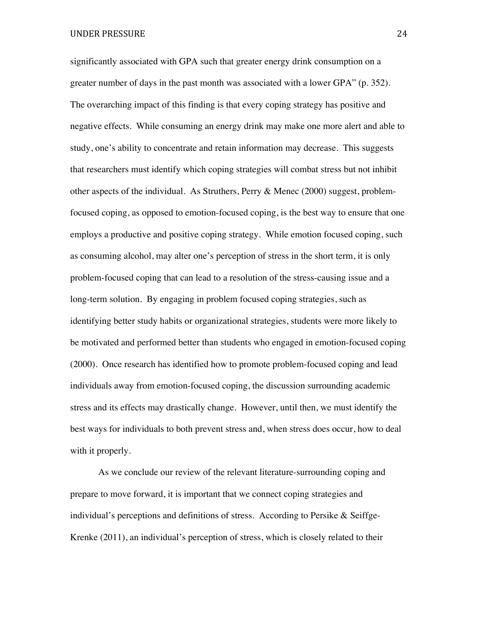significantly associated with GPA such that greater energy drink consumption on a greater number of days in the past month was associated with a lower GPA" (p. 352). The overarching impact of this finding is that every coping strategy has positive and negative effects. While consuming an energy drink may make one more alert and able to study, one's ability to concentrate and retain information may decrease. This suggests that researchers must identify which coping strategies will combat stress but not inhibit other aspects of the individual. As Struthers, Perry & Menec (2000) suggest, problemfocused coping, as opposed to emotion-focused coping, is the best way to ensure that one employs a productive and positive coping strategy. While emotion focused coping, such as consuming alcohol, may alter one's perception of stress in the short term, it is only problem-focused coping that can lead to a resolution of the stress-causing issue and a long-term solution. By engaging in problem focused coping strategies, such as identifying better study habits or organizational strategies, students were more likely to be motivated and performed better than students who engaged in emotion-focused coping (2000). Once research has identified how to promote problem-focused coping and lead individuals away from emotion-focused coping, the discussion surrounding academic stress and its effects may drastically change. However, until then, we must identify the best ways for individuals to both prevent stress and, when stress does occur, how to deal with it properly.

As we conclude our review of the relevant literature-surrounding coping and prepare to move forward, it is important that we connect coping strategies and individual's perceptions and definitions of stress. According to Persike  $\&$  Seiffge-Krenke (2011), an individual's perception of stress, which is closely related to their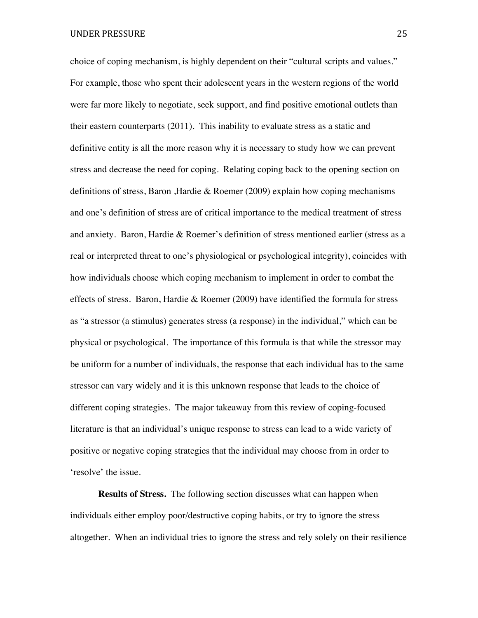choice of coping mechanism, is highly dependent on their "cultural scripts and values." For example, those who spent their adolescent years in the western regions of the world were far more likely to negotiate, seek support, and find positive emotional outlets than their eastern counterparts (2011). This inability to evaluate stress as a static and definitive entity is all the more reason why it is necessary to study how we can prevent stress and decrease the need for coping. Relating coping back to the opening section on definitions of stress, Baron ,Hardie & Roemer (2009) explain how coping mechanisms and one's definition of stress are of critical importance to the medical treatment of stress and anxiety. Baron, Hardie & Roemer's definition of stress mentioned earlier (stress as a real or interpreted threat to one's physiological or psychological integrity), coincides with how individuals choose which coping mechanism to implement in order to combat the effects of stress. Baron, Hardie & Roemer  $(2009)$  have identified the formula for stress as "a stressor (a stimulus) generates stress (a response) in the individual," which can be physical or psychological. The importance of this formula is that while the stressor may be uniform for a number of individuals, the response that each individual has to the same stressor can vary widely and it is this unknown response that leads to the choice of different coping strategies. The major takeaway from this review of coping-focused literature is that an individual's unique response to stress can lead to a wide variety of positive or negative coping strategies that the individual may choose from in order to 'resolve' the issue.

**Results of Stress.** The following section discusses what can happen when individuals either employ poor/destructive coping habits, or try to ignore the stress altogether. When an individual tries to ignore the stress and rely solely on their resilience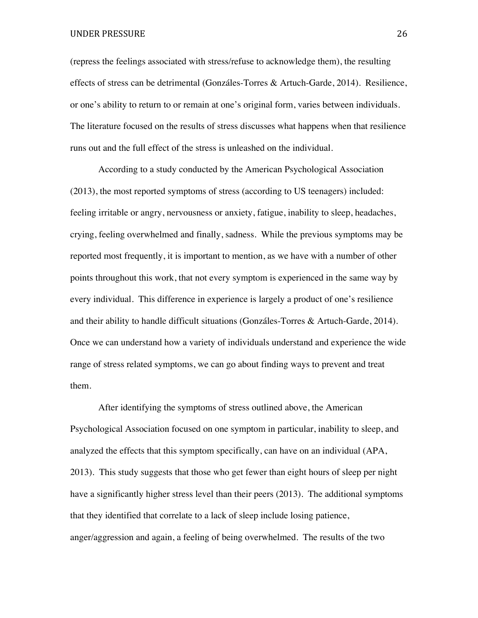#### UNDER PRESSURE 26

(repress the feelings associated with stress/refuse to acknowledge them), the resulting effects of stress can be detrimental (Gonzáles-Torres & Artuch-Garde, 2014). Resilience, or one's ability to return to or remain at one's original form, varies between individuals. The literature focused on the results of stress discusses what happens when that resilience runs out and the full effect of the stress is unleashed on the individual.

According to a study conducted by the American Psychological Association (2013), the most reported symptoms of stress (according to US teenagers) included: feeling irritable or angry, nervousness or anxiety, fatigue, inability to sleep, headaches, crying, feeling overwhelmed and finally, sadness. While the previous symptoms may be reported most frequently, it is important to mention, as we have with a number of other points throughout this work, that not every symptom is experienced in the same way by every individual. This difference in experience is largely a product of one's resilience and their ability to handle difficult situations (Gonzáles-Torres & Artuch-Garde, 2014). Once we can understand how a variety of individuals understand and experience the wide range of stress related symptoms, we can go about finding ways to prevent and treat them.

After identifying the symptoms of stress outlined above, the American Psychological Association focused on one symptom in particular, inability to sleep, and analyzed the effects that this symptom specifically, can have on an individual (APA, 2013). This study suggests that those who get fewer than eight hours of sleep per night have a significantly higher stress level than their peers (2013). The additional symptoms that they identified that correlate to a lack of sleep include losing patience, anger/aggression and again, a feeling of being overwhelmed. The results of the two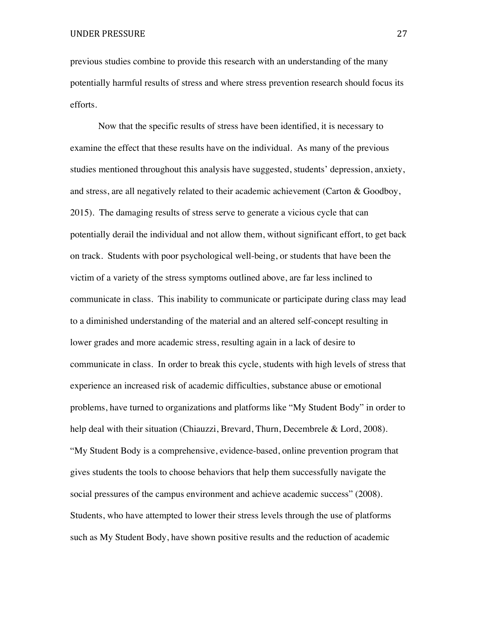previous studies combine to provide this research with an understanding of the many potentially harmful results of stress and where stress prevention research should focus its efforts.

Now that the specific results of stress have been identified, it is necessary to examine the effect that these results have on the individual. As many of the previous studies mentioned throughout this analysis have suggested, students' depression, anxiety, and stress, are all negatively related to their academic achievement (Carton & Goodboy, 2015). The damaging results of stress serve to generate a vicious cycle that can potentially derail the individual and not allow them, without significant effort, to get back on track. Students with poor psychological well-being, or students that have been the victim of a variety of the stress symptoms outlined above, are far less inclined to communicate in class. This inability to communicate or participate during class may lead to a diminished understanding of the material and an altered self-concept resulting in lower grades and more academic stress, resulting again in a lack of desire to communicate in class. In order to break this cycle, students with high levels of stress that experience an increased risk of academic difficulties, substance abuse or emotional problems, have turned to organizations and platforms like "My Student Body" in order to help deal with their situation (Chiauzzi, Brevard, Thurn, Decembrele & Lord, 2008). "My Student Body is a comprehensive, evidence-based, online prevention program that gives students the tools to choose behaviors that help them successfully navigate the social pressures of the campus environment and achieve academic success" (2008). Students, who have attempted to lower their stress levels through the use of platforms such as My Student Body, have shown positive results and the reduction of academic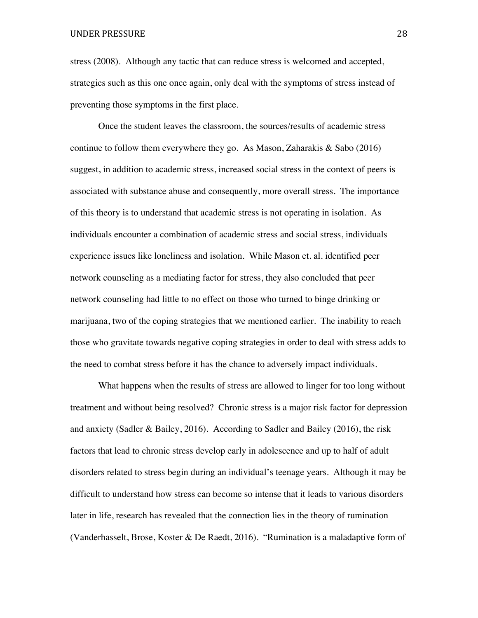stress (2008). Although any tactic that can reduce stress is welcomed and accepted, strategies such as this one once again, only deal with the symptoms of stress instead of preventing those symptoms in the first place.

Once the student leaves the classroom, the sources/results of academic stress continue to follow them everywhere they go. As Mason, Zaharakis  $\&$  Sabo (2016) suggest, in addition to academic stress, increased social stress in the context of peers is associated with substance abuse and consequently, more overall stress. The importance of this theory is to understand that academic stress is not operating in isolation. As individuals encounter a combination of academic stress and social stress, individuals experience issues like loneliness and isolation. While Mason et. al. identified peer network counseling as a mediating factor for stress, they also concluded that peer network counseling had little to no effect on those who turned to binge drinking or marijuana, two of the coping strategies that we mentioned earlier. The inability to reach those who gravitate towards negative coping strategies in order to deal with stress adds to the need to combat stress before it has the chance to adversely impact individuals.

What happens when the results of stress are allowed to linger for too long without treatment and without being resolved? Chronic stress is a major risk factor for depression and anxiety (Sadler & Bailey, 2016). According to Sadler and Bailey (2016), the risk factors that lead to chronic stress develop early in adolescence and up to half of adult disorders related to stress begin during an individual's teenage years. Although it may be difficult to understand how stress can become so intense that it leads to various disorders later in life, research has revealed that the connection lies in the theory of rumination (Vanderhasselt, Brose, Koster & De Raedt, 2016). "Rumination is a maladaptive form of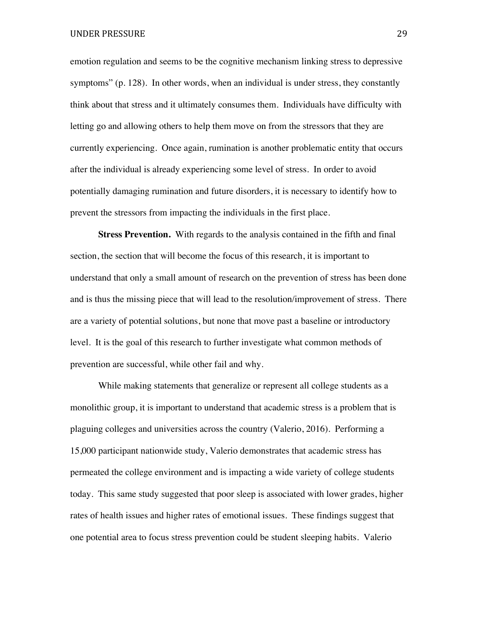emotion regulation and seems to be the cognitive mechanism linking stress to depressive symptoms" (p. 128). In other words, when an individual is under stress, they constantly think about that stress and it ultimately consumes them. Individuals have difficulty with letting go and allowing others to help them move on from the stressors that they are currently experiencing. Once again, rumination is another problematic entity that occurs after the individual is already experiencing some level of stress. In order to avoid potentially damaging rumination and future disorders, it is necessary to identify how to prevent the stressors from impacting the individuals in the first place.

**Stress Prevention.** With regards to the analysis contained in the fifth and final section, the section that will become the focus of this research, it is important to understand that only a small amount of research on the prevention of stress has been done and is thus the missing piece that will lead to the resolution/improvement of stress. There are a variety of potential solutions, but none that move past a baseline or introductory level. It is the goal of this research to further investigate what common methods of prevention are successful, while other fail and why.

While making statements that generalize or represent all college students as a monolithic group, it is important to understand that academic stress is a problem that is plaguing colleges and universities across the country (Valerio, 2016). Performing a 15,000 participant nationwide study, Valerio demonstrates that academic stress has permeated the college environment and is impacting a wide variety of college students today. This same study suggested that poor sleep is associated with lower grades, higher rates of health issues and higher rates of emotional issues. These findings suggest that one potential area to focus stress prevention could be student sleeping habits. Valerio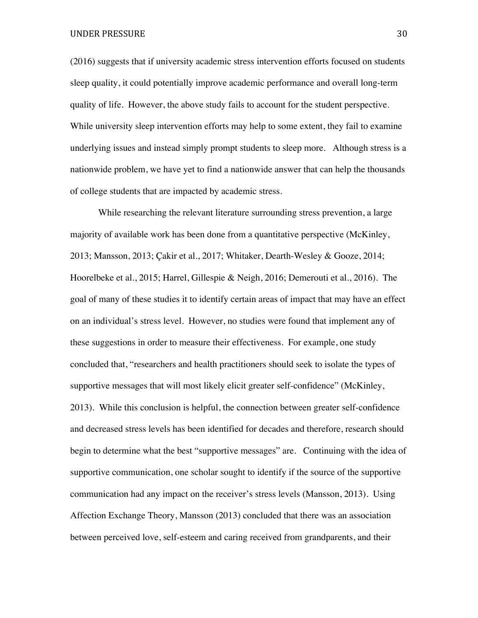(2016) suggests that if university academic stress intervention efforts focused on students sleep quality, it could potentially improve academic performance and overall long-term quality of life. However, the above study fails to account for the student perspective. While university sleep intervention efforts may help to some extent, they fail to examine underlying issues and instead simply prompt students to sleep more. Although stress is a nationwide problem, we have yet to find a nationwide answer that can help the thousands of college students that are impacted by academic stress.

While researching the relevant literature surrounding stress prevention, a large majority of available work has been done from a quantitative perspective (McKinley, 2013; Mansson, 2013; Çakir et al., 2017; Whitaker, Dearth-Wesley & Gooze, 2014; Hoorelbeke et al., 2015; Harrel, Gillespie & Neigh, 2016; Demerouti et al., 2016). The goal of many of these studies it to identify certain areas of impact that may have an effect on an individual's stress level. However, no studies were found that implement any of these suggestions in order to measure their effectiveness. For example, one study concluded that, "researchers and health practitioners should seek to isolate the types of supportive messages that will most likely elicit greater self-confidence" (McKinley, 2013). While this conclusion is helpful, the connection between greater self-confidence and decreased stress levels has been identified for decades and therefore, research should begin to determine what the best "supportive messages" are. Continuing with the idea of supportive communication, one scholar sought to identify if the source of the supportive communication had any impact on the receiver's stress levels (Mansson, 2013). Using Affection Exchange Theory, Mansson (2013) concluded that there was an association between perceived love, self-esteem and caring received from grandparents, and their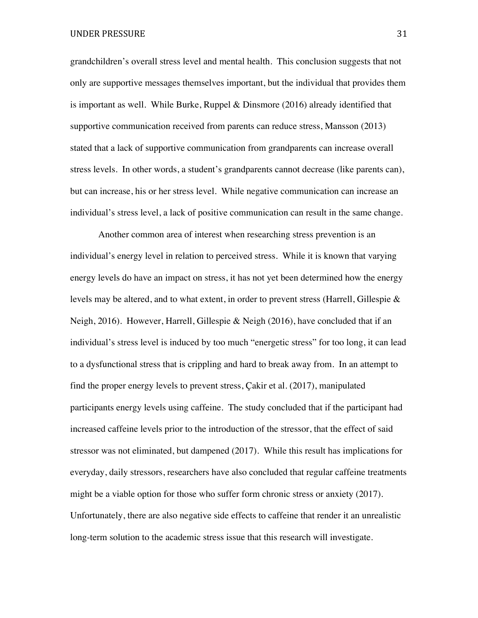grandchildren's overall stress level and mental health. This conclusion suggests that not only are supportive messages themselves important, but the individual that provides them is important as well. While Burke, Ruppel & Dinsmore (2016) already identified that supportive communication received from parents can reduce stress, Mansson (2013) stated that a lack of supportive communication from grandparents can increase overall stress levels. In other words, a student's grandparents cannot decrease (like parents can), but can increase, his or her stress level. While negative communication can increase an individual's stress level, a lack of positive communication can result in the same change.

Another common area of interest when researching stress prevention is an individual's energy level in relation to perceived stress. While it is known that varying energy levels do have an impact on stress, it has not yet been determined how the energy levels may be altered, and to what extent, in order to prevent stress (Harrell, Gillespie & Neigh, 2016). However, Harrell, Gillespie & Neigh (2016), have concluded that if an individual's stress level is induced by too much "energetic stress" for too long, it can lead to a dysfunctional stress that is crippling and hard to break away from. In an attempt to find the proper energy levels to prevent stress, Çakir et al. (2017), manipulated participants energy levels using caffeine. The study concluded that if the participant had increased caffeine levels prior to the introduction of the stressor, that the effect of said stressor was not eliminated, but dampened (2017). While this result has implications for everyday, daily stressors, researchers have also concluded that regular caffeine treatments might be a viable option for those who suffer form chronic stress or anxiety (2017). Unfortunately, there are also negative side effects to caffeine that render it an unrealistic long-term solution to the academic stress issue that this research will investigate.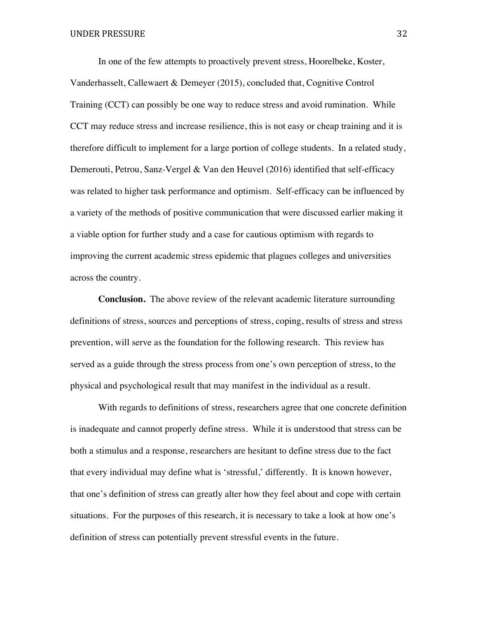In one of the few attempts to proactively prevent stress, Hoorelbeke, Koster, Vanderhasselt, Callewaert & Demeyer (2015), concluded that, Cognitive Control Training (CCT) can possibly be one way to reduce stress and avoid rumination. While CCT may reduce stress and increase resilience, this is not easy or cheap training and it is therefore difficult to implement for a large portion of college students. In a related study, Demerouti, Petrou, Sanz-Vergel & Van den Heuvel (2016) identified that self-efficacy was related to higher task performance and optimism. Self-efficacy can be influenced by a variety of the methods of positive communication that were discussed earlier making it a viable option for further study and a case for cautious optimism with regards to improving the current academic stress epidemic that plagues colleges and universities across the country.

**Conclusion.** The above review of the relevant academic literature surrounding definitions of stress, sources and perceptions of stress, coping, results of stress and stress prevention, will serve as the foundation for the following research. This review has served as a guide through the stress process from one's own perception of stress, to the physical and psychological result that may manifest in the individual as a result.

With regards to definitions of stress, researchers agree that one concrete definition is inadequate and cannot properly define stress. While it is understood that stress can be both a stimulus and a response, researchers are hesitant to define stress due to the fact that every individual may define what is 'stressful,' differently. It is known however, that one's definition of stress can greatly alter how they feel about and cope with certain situations. For the purposes of this research, it is necessary to take a look at how one's definition of stress can potentially prevent stressful events in the future.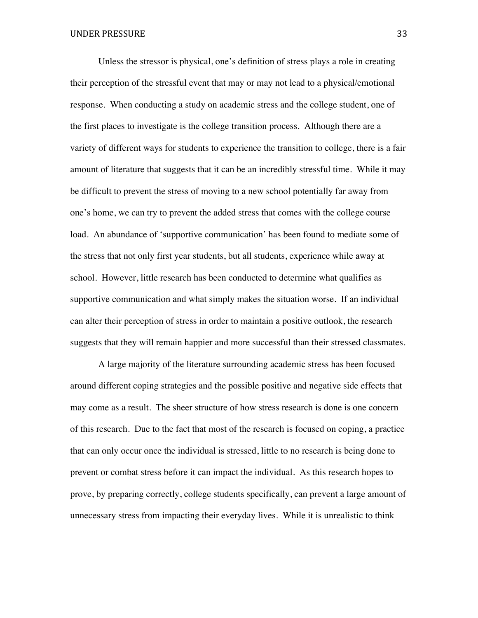Unless the stressor is physical, one's definition of stress plays a role in creating their perception of the stressful event that may or may not lead to a physical/emotional response. When conducting a study on academic stress and the college student, one of the first places to investigate is the college transition process. Although there are a variety of different ways for students to experience the transition to college, there is a fair amount of literature that suggests that it can be an incredibly stressful time. While it may be difficult to prevent the stress of moving to a new school potentially far away from one's home, we can try to prevent the added stress that comes with the college course load. An abundance of 'supportive communication' has been found to mediate some of the stress that not only first year students, but all students, experience while away at school. However, little research has been conducted to determine what qualifies as supportive communication and what simply makes the situation worse. If an individual can alter their perception of stress in order to maintain a positive outlook, the research suggests that they will remain happier and more successful than their stressed classmates.

A large majority of the literature surrounding academic stress has been focused around different coping strategies and the possible positive and negative side effects that may come as a result. The sheer structure of how stress research is done is one concern of this research. Due to the fact that most of the research is focused on coping, a practice that can only occur once the individual is stressed, little to no research is being done to prevent or combat stress before it can impact the individual. As this research hopes to prove, by preparing correctly, college students specifically, can prevent a large amount of unnecessary stress from impacting their everyday lives. While it is unrealistic to think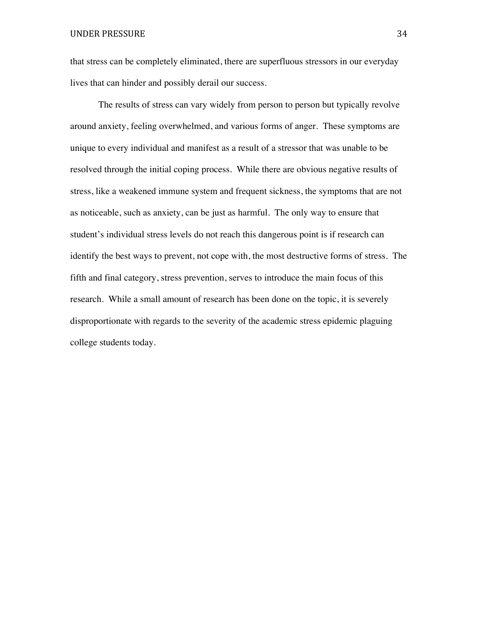that stress can be completely eliminated, there are superfluous stressors in our everyday lives that can hinder and possibly derail our success.

The results of stress can vary widely from person to person but typically revolve around anxiety, feeling overwhelmed, and various forms of anger. These symptoms are unique to every individual and manifest as a result of a stressor that was unable to be resolved through the initial coping process. While there are obvious negative results of stress, like a weakened immune system and frequent sickness, the symptoms that are not as noticeable, such as anxiety, can be just as harmful. The only way to ensure that student's individual stress levels do not reach this dangerous point is if research can identify the best ways to prevent, not cope with, the most destructive forms of stress. The fifth and final category, stress prevention, serves to introduce the main focus of this research. While a small amount of research has been done on the topic, it is severely disproportionate with regards to the severity of the academic stress epidemic plaguing college students today.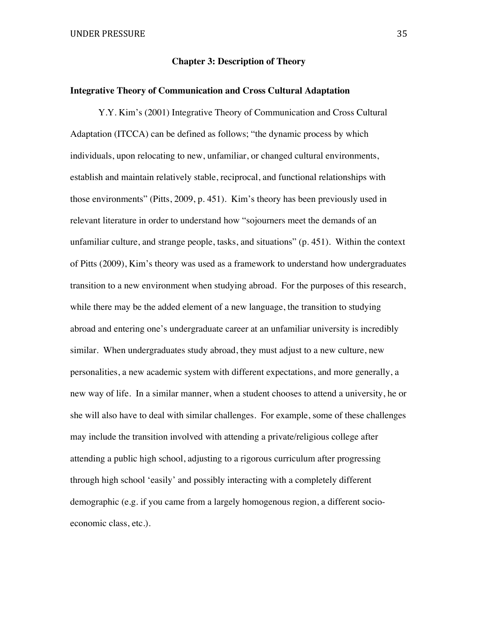# **Chapter 3: Description of Theory**

#### **Integrative Theory of Communication and Cross Cultural Adaptation**

Y.Y. Kim's (2001) Integrative Theory of Communication and Cross Cultural Adaptation (ITCCA) can be defined as follows; "the dynamic process by which individuals, upon relocating to new, unfamiliar, or changed cultural environments, establish and maintain relatively stable, reciprocal, and functional relationships with those environments" (Pitts, 2009, p. 451). Kim's theory has been previously used in relevant literature in order to understand how "sojourners meet the demands of an unfamiliar culture, and strange people, tasks, and situations" (p. 451). Within the context of Pitts (2009), Kim's theory was used as a framework to understand how undergraduates transition to a new environment when studying abroad. For the purposes of this research, while there may be the added element of a new language, the transition to studying abroad and entering one's undergraduate career at an unfamiliar university is incredibly similar. When undergraduates study abroad, they must adjust to a new culture, new personalities, a new academic system with different expectations, and more generally, a new way of life. In a similar manner, when a student chooses to attend a university, he or she will also have to deal with similar challenges. For example, some of these challenges may include the transition involved with attending a private/religious college after attending a public high school, adjusting to a rigorous curriculum after progressing through high school 'easily' and possibly interacting with a completely different demographic (e.g. if you came from a largely homogenous region, a different socioeconomic class, etc.).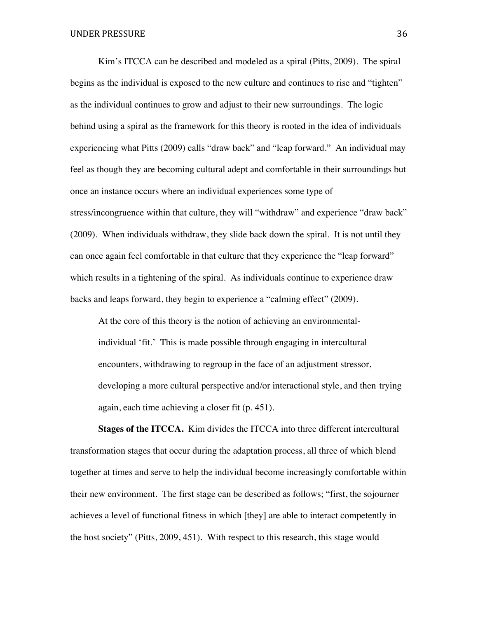Kim's ITCCA can be described and modeled as a spiral (Pitts, 2009). The spiral begins as the individual is exposed to the new culture and continues to rise and "tighten" as the individual continues to grow and adjust to their new surroundings. The logic behind using a spiral as the framework for this theory is rooted in the idea of individuals experiencing what Pitts (2009) calls "draw back" and "leap forward." An individual may feel as though they are becoming cultural adept and comfortable in their surroundings but once an instance occurs where an individual experiences some type of stress/incongruence within that culture, they will "withdraw" and experience "draw back" (2009). When individuals withdraw, they slide back down the spiral. It is not until they can once again feel comfortable in that culture that they experience the "leap forward" which results in a tightening of the spiral. As individuals continue to experience draw backs and leaps forward, they begin to experience a "calming effect" (2009).

At the core of this theory is the notion of achieving an environmentalindividual 'fit.' This is made possible through engaging in intercultural encounters, withdrawing to regroup in the face of an adjustment stressor, developing a more cultural perspective and/or interactional style, and then trying again, each time achieving a closer fit (p. 451).

**Stages of the ITCCA.** Kim divides the ITCCA into three different intercultural transformation stages that occur during the adaptation process, all three of which blend together at times and serve to help the individual become increasingly comfortable within their new environment. The first stage can be described as follows; "first, the sojourner achieves a level of functional fitness in which [they] are able to interact competently in the host society" (Pitts, 2009, 451). With respect to this research, this stage would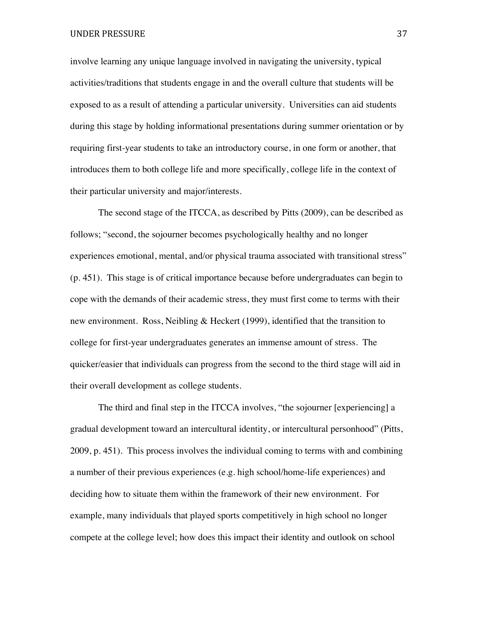involve learning any unique language involved in navigating the university, typical activities/traditions that students engage in and the overall culture that students will be exposed to as a result of attending a particular university. Universities can aid students during this stage by holding informational presentations during summer orientation or by requiring first-year students to take an introductory course, in one form or another, that introduces them to both college life and more specifically, college life in the context of their particular university and major/interests.

The second stage of the ITCCA, as described by Pitts (2009), can be described as follows; "second, the sojourner becomes psychologically healthy and no longer experiences emotional, mental, and/or physical trauma associated with transitional stress" (p. 451). This stage is of critical importance because before undergraduates can begin to cope with the demands of their academic stress, they must first come to terms with their new environment. Ross, Neibling & Heckert (1999), identified that the transition to college for first-year undergraduates generates an immense amount of stress. The quicker/easier that individuals can progress from the second to the third stage will aid in their overall development as college students.

The third and final step in the ITCCA involves, "the sojourner [experiencing] a gradual development toward an intercultural identity, or intercultural personhood" (Pitts, 2009, p. 451). This process involves the individual coming to terms with and combining a number of their previous experiences (e.g. high school/home-life experiences) and deciding how to situate them within the framework of their new environment. For example, many individuals that played sports competitively in high school no longer compete at the college level; how does this impact their identity and outlook on school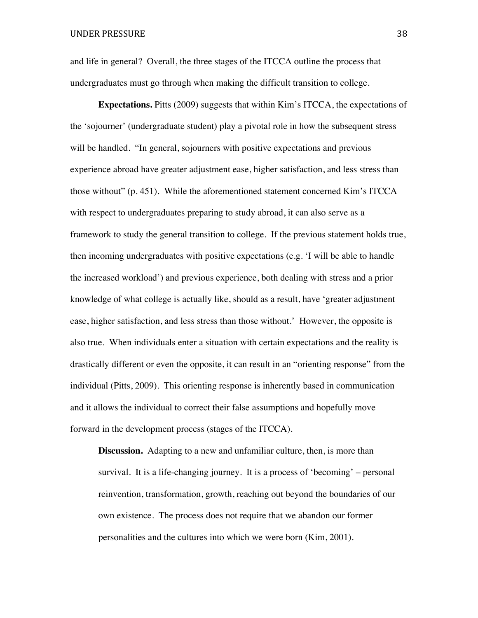and life in general? Overall, the three stages of the ITCCA outline the process that undergraduates must go through when making the difficult transition to college.

**Expectations.** Pitts (2009) suggests that within Kim's ITCCA, the expectations of the 'sojourner' (undergraduate student) play a pivotal role in how the subsequent stress will be handled. "In general, sojourners with positive expectations and previous experience abroad have greater adjustment ease, higher satisfaction, and less stress than those without" (p. 451). While the aforementioned statement concerned Kim's ITCCA with respect to undergraduates preparing to study abroad, it can also serve as a framework to study the general transition to college. If the previous statement holds true, then incoming undergraduates with positive expectations (e.g. 'I will be able to handle the increased workload') and previous experience, both dealing with stress and a prior knowledge of what college is actually like, should as a result, have 'greater adjustment ease, higher satisfaction, and less stress than those without.' However, the opposite is also true. When individuals enter a situation with certain expectations and the reality is drastically different or even the opposite, it can result in an "orienting response" from the individual (Pitts, 2009). This orienting response is inherently based in communication and it allows the individual to correct their false assumptions and hopefully move forward in the development process (stages of the ITCCA).

**Discussion.** Adapting to a new and unfamiliar culture, then, is more than survival. It is a life-changing journey. It is a process of 'becoming' – personal reinvention, transformation, growth, reaching out beyond the boundaries of our own existence. The process does not require that we abandon our former personalities and the cultures into which we were born (Kim, 2001).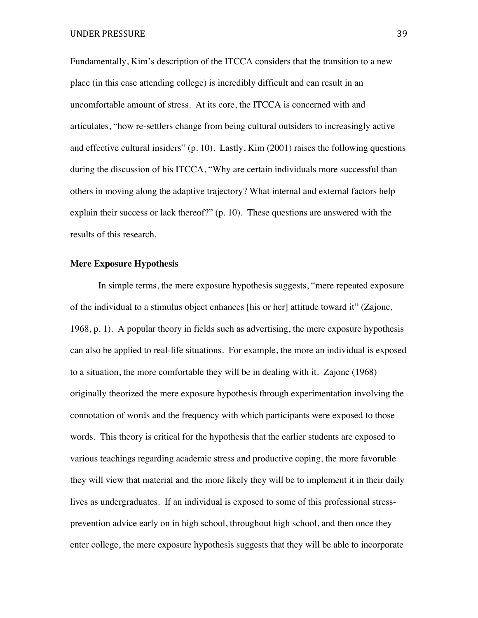Fundamentally, Kim's description of the ITCCA considers that the transition to a new place (in this case attending college) is incredibly difficult and can result in an uncomfortable amount of stress. At its core, the ITCCA is concerned with and articulates, "how re-settlers change from being cultural outsiders to increasingly active and effective cultural insiders" (p. 10). Lastly, Kim (2001) raises the following questions during the discussion of his ITCCA, "Why are certain individuals more successful than others in moving along the adaptive trajectory? What internal and external factors help explain their success or lack thereof?" (p. 10). These questions are answered with the results of this research.

## **Mere Exposure Hypothesis**

In simple terms, the mere exposure hypothesis suggests, "mere repeated exposure of the individual to a stimulus object enhances [his or her] attitude toward it" (Zajonc, 1968, p. 1). A popular theory in fields such as advertising, the mere exposure hypothesis can also be applied to real-life situations. For example, the more an individual is exposed to a situation, the more comfortable they will be in dealing with it. Zajonc (1968) originally theorized the mere exposure hypothesis through experimentation involving the connotation of words and the frequency with which participants were exposed to those words. This theory is critical for the hypothesis that the earlier students are exposed to various teachings regarding academic stress and productive coping, the more favorable they will view that material and the more likely they will be to implement it in their daily lives as undergraduates. If an individual is exposed to some of this professional stressprevention advice early on in high school, throughout high school, and then once they enter college, the mere exposure hypothesis suggests that they will be able to incorporate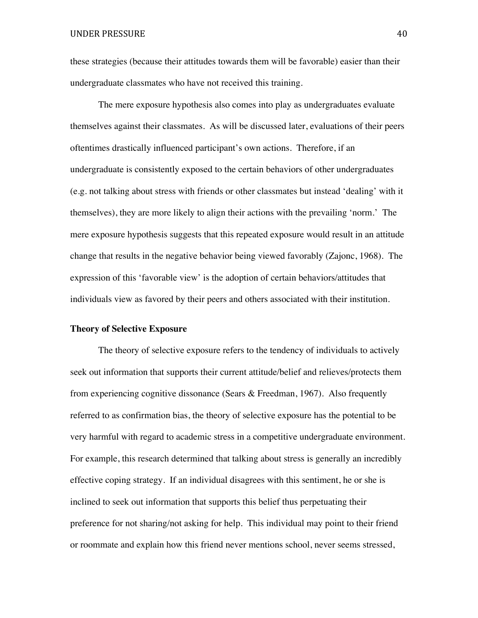these strategies (because their attitudes towards them will be favorable) easier than their undergraduate classmates who have not received this training.

The mere exposure hypothesis also comes into play as undergraduates evaluate themselves against their classmates. As will be discussed later, evaluations of their peers oftentimes drastically influenced participant's own actions. Therefore, if an undergraduate is consistently exposed to the certain behaviors of other undergraduates (e.g. not talking about stress with friends or other classmates but instead 'dealing' with it themselves), they are more likely to align their actions with the prevailing 'norm.' The mere exposure hypothesis suggests that this repeated exposure would result in an attitude change that results in the negative behavior being viewed favorably (Zajonc, 1968). The expression of this 'favorable view' is the adoption of certain behaviors/attitudes that individuals view as favored by their peers and others associated with their institution.

#### **Theory of Selective Exposure**

The theory of selective exposure refers to the tendency of individuals to actively seek out information that supports their current attitude/belief and relieves/protects them from experiencing cognitive dissonance (Sears & Freedman, 1967). Also frequently referred to as confirmation bias, the theory of selective exposure has the potential to be very harmful with regard to academic stress in a competitive undergraduate environment. For example, this research determined that talking about stress is generally an incredibly effective coping strategy. If an individual disagrees with this sentiment, he or she is inclined to seek out information that supports this belief thus perpetuating their preference for not sharing/not asking for help. This individual may point to their friend or roommate and explain how this friend never mentions school, never seems stressed,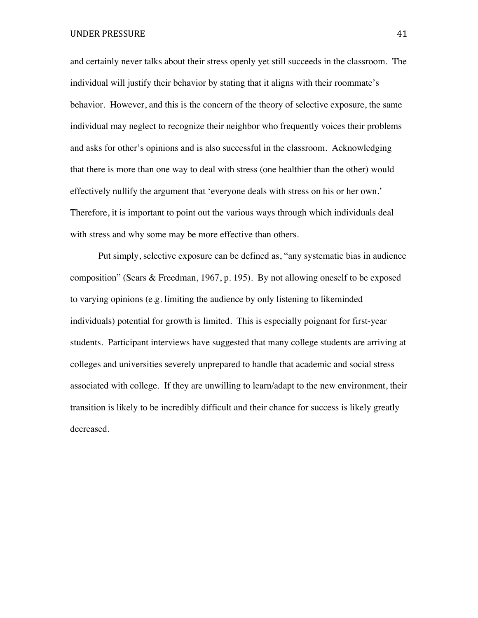and certainly never talks about their stress openly yet still succeeds in the classroom. The individual will justify their behavior by stating that it aligns with their roommate's behavior. However, and this is the concern of the theory of selective exposure, the same individual may neglect to recognize their neighbor who frequently voices their problems and asks for other's opinions and is also successful in the classroom. Acknowledging that there is more than one way to deal with stress (one healthier than the other) would effectively nullify the argument that 'everyone deals with stress on his or her own.' Therefore, it is important to point out the various ways through which individuals deal with stress and why some may be more effective than others.

Put simply, selective exposure can be defined as, "any systematic bias in audience composition" (Sears & Freedman, 1967, p. 195). By not allowing oneself to be exposed to varying opinions (e.g. limiting the audience by only listening to likeminded individuals) potential for growth is limited. This is especially poignant for first-year students. Participant interviews have suggested that many college students are arriving at colleges and universities severely unprepared to handle that academic and social stress associated with college. If they are unwilling to learn/adapt to the new environment, their transition is likely to be incredibly difficult and their chance for success is likely greatly decreased.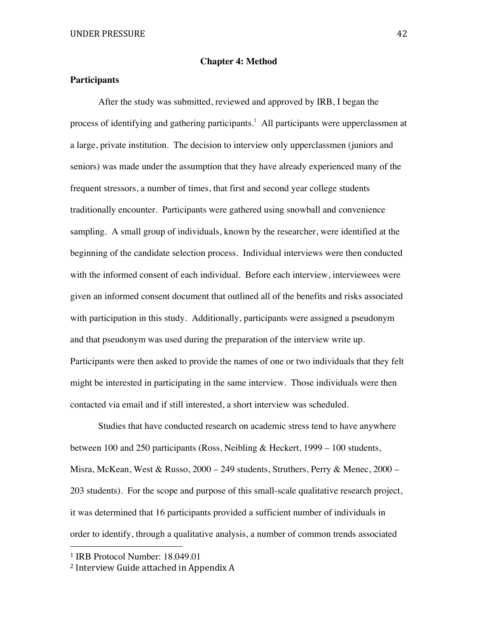## **Chapter 4: Method**

# **Participants**

After the study was submitted, reviewed and approved by IRB, I began the process of identifying and gathering participants.<sup>1</sup> All participants were upperclassmen at a large, private institution. The decision to interview only upperclassmen (juniors and seniors) was made under the assumption that they have already experienced many of the frequent stressors, a number of times, that first and second year college students traditionally encounter. Participants were gathered using snowball and convenience sampling. A small group of individuals, known by the researcher, were identified at the beginning of the candidate selection process. Individual interviews were then conducted with the informed consent of each individual. Before each interview, interviewees were given an informed consent document that outlined all of the benefits and risks associated with participation in this study. Additionally, participants were assigned a pseudonym and that pseudonym was used during the preparation of the interview write up. Participants were then asked to provide the names of one or two individuals that they felt might be interested in participating in the same interview. Those individuals were then contacted via email and if still interested, a short interview was scheduled.

Studies that have conducted research on academic stress tend to have anywhere between 100 and 250 participants (Ross, Neibling & Heckert, 1999 – 100 students, Misra, McKean, West & Russo,  $2000 - 249$  students, Struthers, Perry & Menec,  $2000 -$ 203 students). For the scope and purpose of this small-scale qualitative research project, it was determined that 16 participants provided a sufficient number of individuals in order to identify, through a qualitative analysis, a number of common trends associated

 

<sup>1</sup> IRB Protocol Number: 18.049.01

<sup>&</sup>lt;sup>2</sup> Interview Guide attached in Appendix A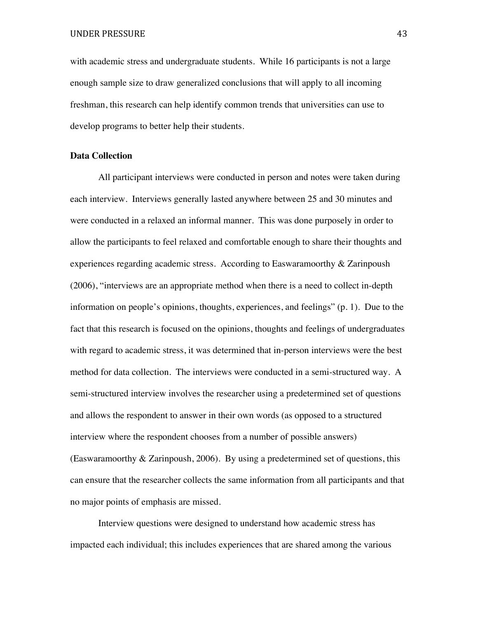with academic stress and undergraduate students. While 16 participants is not a large enough sample size to draw generalized conclusions that will apply to all incoming freshman, this research can help identify common trends that universities can use to develop programs to better help their students.

## **Data Collection**

All participant interviews were conducted in person and notes were taken during each interview. Interviews generally lasted anywhere between 25 and 30 minutes and were conducted in a relaxed an informal manner. This was done purposely in order to allow the participants to feel relaxed and comfortable enough to share their thoughts and experiences regarding academic stress. According to Easwaramoorthy & Zarinpoush (2006), "interviews are an appropriate method when there is a need to collect in-depth information on people's opinions, thoughts, experiences, and feelings" (p. 1). Due to the fact that this research is focused on the opinions, thoughts and feelings of undergraduates with regard to academic stress, it was determined that in-person interviews were the best method for data collection. The interviews were conducted in a semi-structured way. A semi-structured interview involves the researcher using a predetermined set of questions and allows the respondent to answer in their own words (as opposed to a structured interview where the respondent chooses from a number of possible answers) (Easwaramoorthy & Zarinpoush, 2006). By using a predetermined set of questions, this can ensure that the researcher collects the same information from all participants and that no major points of emphasis are missed.

Interview questions were designed to understand how academic stress has impacted each individual; this includes experiences that are shared among the various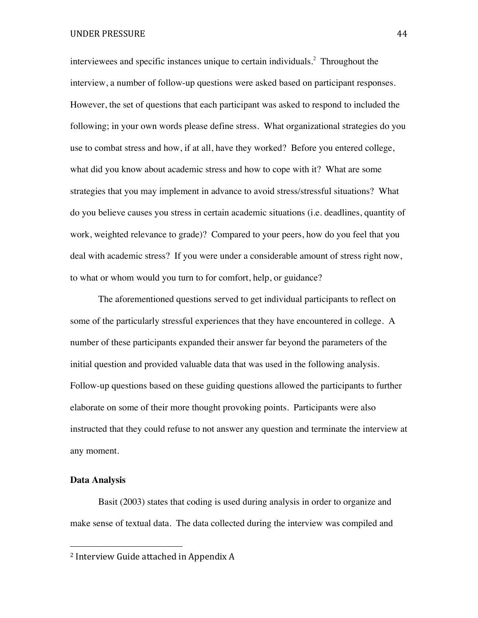interviewees and specific instances unique to certain individuals.<sup>2</sup> Throughout the interview, a number of follow-up questions were asked based on participant responses. However, the set of questions that each participant was asked to respond to included the following; in your own words please define stress. What organizational strategies do you use to combat stress and how, if at all, have they worked? Before you entered college, what did you know about academic stress and how to cope with it? What are some strategies that you may implement in advance to avoid stress/stressful situations? What do you believe causes you stress in certain academic situations (i.e. deadlines, quantity of work, weighted relevance to grade)? Compared to your peers, how do you feel that you deal with academic stress? If you were under a considerable amount of stress right now, to what or whom would you turn to for comfort, help, or guidance?

The aforementioned questions served to get individual participants to reflect on some of the particularly stressful experiences that they have encountered in college. A number of these participants expanded their answer far beyond the parameters of the initial question and provided valuable data that was used in the following analysis. Follow-up questions based on these guiding questions allowed the participants to further elaborate on some of their more thought provoking points. Participants were also instructed that they could refuse to not answer any question and terminate the interview at any moment.

## **Data Analysis**

Basit (2003) states that coding is used during analysis in order to organize and make sense of textual data. The data collected during the interview was compiled and

 

<sup>&</sup>lt;sup>2</sup> Interview Guide attached in Appendix A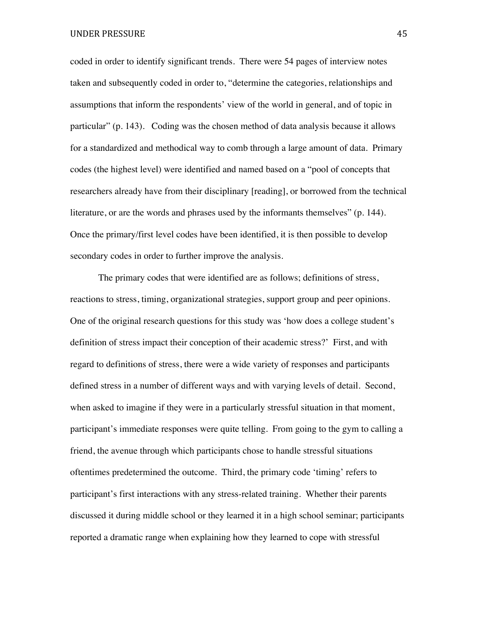coded in order to identify significant trends. There were 54 pages of interview notes taken and subsequently coded in order to, "determine the categories, relationships and assumptions that inform the respondents' view of the world in general, and of topic in particular" (p. 143). Coding was the chosen method of data analysis because it allows for a standardized and methodical way to comb through a large amount of data. Primary codes (the highest level) were identified and named based on a "pool of concepts that researchers already have from their disciplinary [reading], or borrowed from the technical literature, or are the words and phrases used by the informants themselves" (p. 144). Once the primary/first level codes have been identified, it is then possible to develop secondary codes in order to further improve the analysis.

The primary codes that were identified are as follows; definitions of stress, reactions to stress, timing, organizational strategies, support group and peer opinions. One of the original research questions for this study was 'how does a college student's definition of stress impact their conception of their academic stress?' First, and with regard to definitions of stress, there were a wide variety of responses and participants defined stress in a number of different ways and with varying levels of detail. Second, when asked to imagine if they were in a particularly stressful situation in that moment, participant's immediate responses were quite telling. From going to the gym to calling a friend, the avenue through which participants chose to handle stressful situations oftentimes predetermined the outcome. Third, the primary code 'timing' refers to participant's first interactions with any stress-related training. Whether their parents discussed it during middle school or they learned it in a high school seminar; participants reported a dramatic range when explaining how they learned to cope with stressful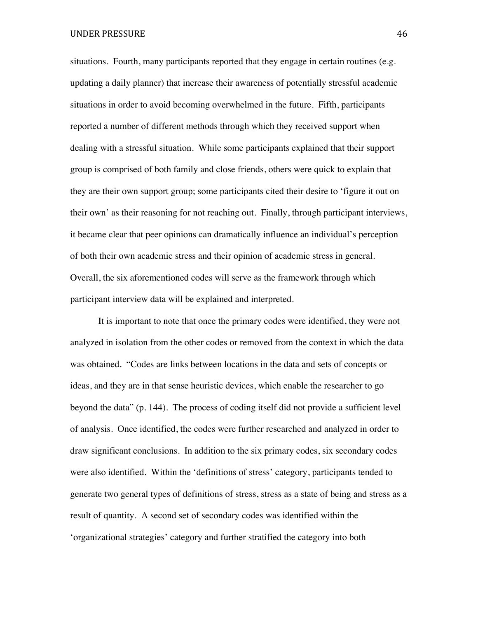situations. Fourth, many participants reported that they engage in certain routines (e.g. updating a daily planner) that increase their awareness of potentially stressful academic situations in order to avoid becoming overwhelmed in the future. Fifth, participants reported a number of different methods through which they received support when dealing with a stressful situation. While some participants explained that their support group is comprised of both family and close friends, others were quick to explain that they are their own support group; some participants cited their desire to 'figure it out on their own' as their reasoning for not reaching out. Finally, through participant interviews, it became clear that peer opinions can dramatically influence an individual's perception of both their own academic stress and their opinion of academic stress in general. Overall, the six aforementioned codes will serve as the framework through which participant interview data will be explained and interpreted.

It is important to note that once the primary codes were identified, they were not analyzed in isolation from the other codes or removed from the context in which the data was obtained. "Codes are links between locations in the data and sets of concepts or ideas, and they are in that sense heuristic devices, which enable the researcher to go beyond the data" (p. 144). The process of coding itself did not provide a sufficient level of analysis. Once identified, the codes were further researched and analyzed in order to draw significant conclusions. In addition to the six primary codes, six secondary codes were also identified. Within the 'definitions of stress' category, participants tended to generate two general types of definitions of stress, stress as a state of being and stress as a result of quantity. A second set of secondary codes was identified within the 'organizational strategies' category and further stratified the category into both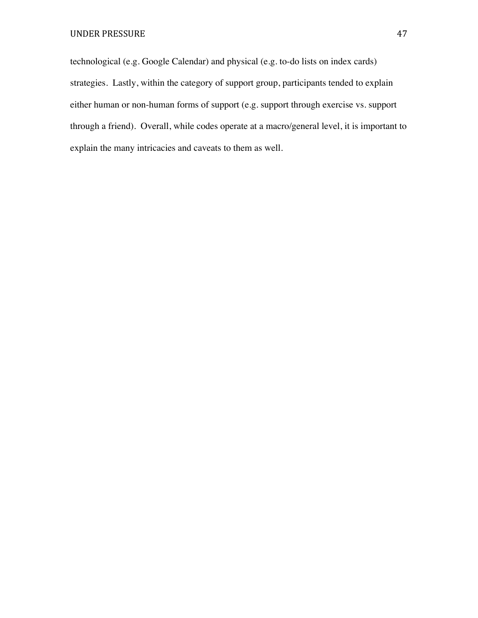technological (e.g. Google Calendar) and physical (e.g. to-do lists on index cards) strategies. Lastly, within the category of support group, participants tended to explain either human or non-human forms of support (e.g. support through exercise vs. support through a friend). Overall, while codes operate at a macro/general level, it is important to explain the many intricacies and caveats to them as well.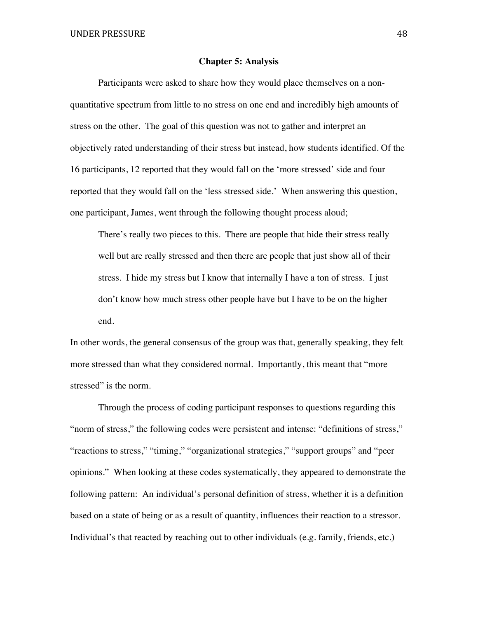#### **Chapter 5: Analysis**

Participants were asked to share how they would place themselves on a nonquantitative spectrum from little to no stress on one end and incredibly high amounts of stress on the other. The goal of this question was not to gather and interpret an objectively rated understanding of their stress but instead, how students identified. Of the 16 participants, 12 reported that they would fall on the 'more stressed' side and four reported that they would fall on the 'less stressed side.' When answering this question, one participant, James, went through the following thought process aloud;

There's really two pieces to this. There are people that hide their stress really well but are really stressed and then there are people that just show all of their stress. I hide my stress but I know that internally I have a ton of stress. I just don't know how much stress other people have but I have to be on the higher end.

In other words, the general consensus of the group was that, generally speaking, they felt more stressed than what they considered normal. Importantly, this meant that "more stressed" is the norm.

Through the process of coding participant responses to questions regarding this "norm of stress," the following codes were persistent and intense: "definitions of stress," "reactions to stress," "timing," "organizational strategies," "support groups" and "peer opinions." When looking at these codes systematically, they appeared to demonstrate the following pattern: An individual's personal definition of stress, whether it is a definition based on a state of being or as a result of quantity, influences their reaction to a stressor. Individual's that reacted by reaching out to other individuals (e.g. family, friends, etc.)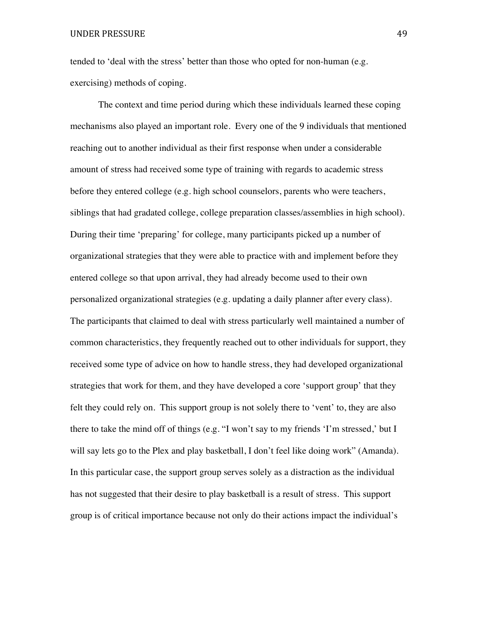tended to 'deal with the stress' better than those who opted for non-human (e.g. exercising) methods of coping.

The context and time period during which these individuals learned these coping mechanisms also played an important role. Every one of the 9 individuals that mentioned reaching out to another individual as their first response when under a considerable amount of stress had received some type of training with regards to academic stress before they entered college (e.g. high school counselors, parents who were teachers, siblings that had gradated college, college preparation classes/assemblies in high school). During their time 'preparing' for college, many participants picked up a number of organizational strategies that they were able to practice with and implement before they entered college so that upon arrival, they had already become used to their own personalized organizational strategies (e.g. updating a daily planner after every class). The participants that claimed to deal with stress particularly well maintained a number of common characteristics, they frequently reached out to other individuals for support, they received some type of advice on how to handle stress, they had developed organizational strategies that work for them, and they have developed a core 'support group' that they felt they could rely on. This support group is not solely there to 'vent' to, they are also there to take the mind off of things (e.g. "I won't say to my friends 'I'm stressed,' but I will say lets go to the Plex and play basketball, I don't feel like doing work" (Amanda). In this particular case, the support group serves solely as a distraction as the individual has not suggested that their desire to play basketball is a result of stress. This support group is of critical importance because not only do their actions impact the individual's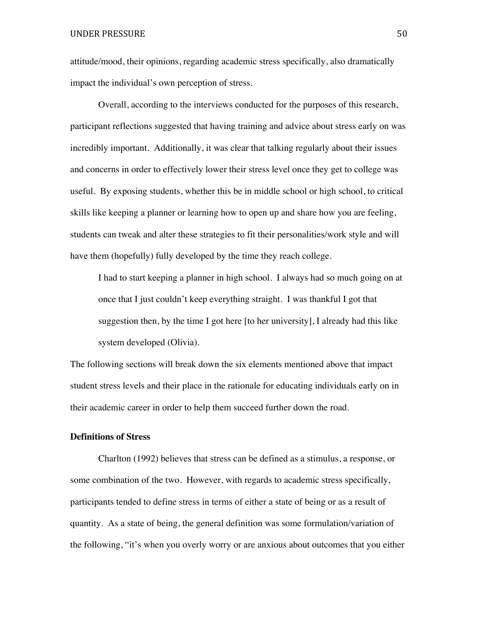attitude/mood, their opinions, regarding academic stress specifically, also dramatically impact the individual's own perception of stress.

Overall, according to the interviews conducted for the purposes of this research, participant reflections suggested that having training and advice about stress early on was incredibly important. Additionally, it was clear that talking regularly about their issues and concerns in order to effectively lower their stress level once they get to college was useful. By exposing students, whether this be in middle school or high school, to critical skills like keeping a planner or learning how to open up and share how you are feeling, students can tweak and alter these strategies to fit their personalities/work style and will have them (hopefully) fully developed by the time they reach college.

I had to start keeping a planner in high school. I always had so much going on at once that I just couldn't keep everything straight. I was thankful I got that suggestion then, by the time I got here [to her university], I already had this like system developed (Olivia).

The following sections will break down the six elements mentioned above that impact student stress levels and their place in the rationale for educating individuals early on in their academic career in order to help them succeed further down the road.

## **Definitions of Stress**

Charlton (1992) believes that stress can be defined as a stimulus, a response, or some combination of the two. However, with regards to academic stress specifically, participants tended to define stress in terms of either a state of being or as a result of quantity. As a state of being, the general definition was some formulation/variation of the following, "it's when you overly worry or are anxious about outcomes that you either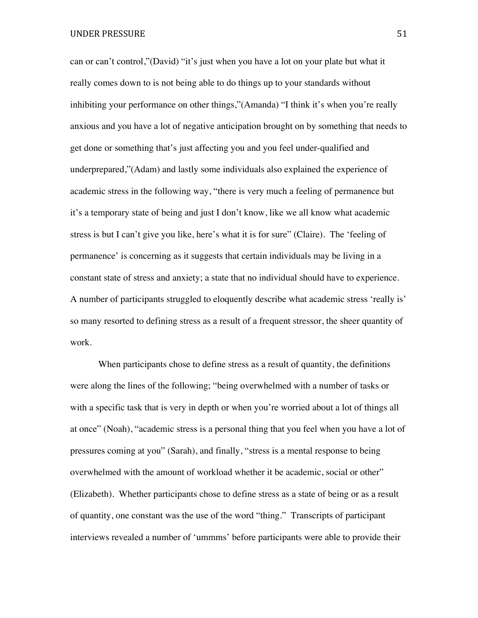can or can't control,"(David) "it's just when you have a lot on your plate but what it really comes down to is not being able to do things up to your standards without inhibiting your performance on other things,"(Amanda) "I think it's when you're really anxious and you have a lot of negative anticipation brought on by something that needs to get done or something that's just affecting you and you feel under-qualified and underprepared,"(Adam) and lastly some individuals also explained the experience of academic stress in the following way, "there is very much a feeling of permanence but it's a temporary state of being and just I don't know, like we all know what academic stress is but I can't give you like, here's what it is for sure" (Claire). The 'feeling of permanence' is concerning as it suggests that certain individuals may be living in a constant state of stress and anxiety; a state that no individual should have to experience. A number of participants struggled to eloquently describe what academic stress 'really is' so many resorted to defining stress as a result of a frequent stressor, the sheer quantity of work.

When participants chose to define stress as a result of quantity, the definitions were along the lines of the following; "being overwhelmed with a number of tasks or with a specific task that is very in depth or when you're worried about a lot of things all at once" (Noah), "academic stress is a personal thing that you feel when you have a lot of pressures coming at you" (Sarah), and finally, "stress is a mental response to being overwhelmed with the amount of workload whether it be academic, social or other" (Elizabeth). Whether participants chose to define stress as a state of being or as a result of quantity, one constant was the use of the word "thing." Transcripts of participant interviews revealed a number of 'ummms' before participants were able to provide their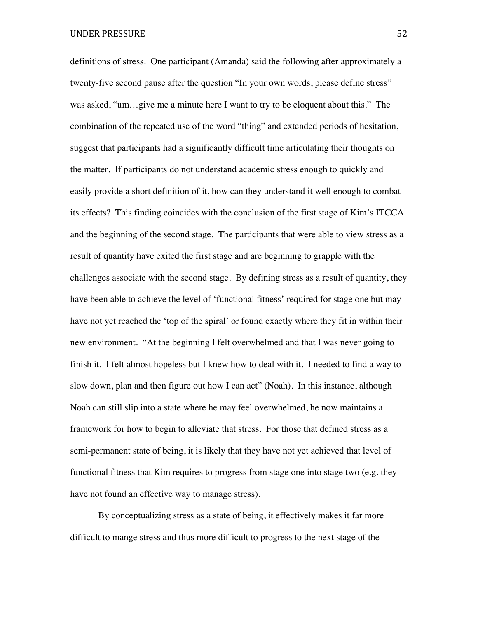definitions of stress. One participant (Amanda) said the following after approximately a twenty-five second pause after the question "In your own words, please define stress" was asked, "um…give me a minute here I want to try to be eloquent about this." The combination of the repeated use of the word "thing" and extended periods of hesitation, suggest that participants had a significantly difficult time articulating their thoughts on the matter. If participants do not understand academic stress enough to quickly and easily provide a short definition of it, how can they understand it well enough to combat its effects? This finding coincides with the conclusion of the first stage of Kim's ITCCA and the beginning of the second stage. The participants that were able to view stress as a result of quantity have exited the first stage and are beginning to grapple with the challenges associate with the second stage. By defining stress as a result of quantity, they have been able to achieve the level of 'functional fitness' required for stage one but may have not yet reached the 'top of the spiral' or found exactly where they fit in within their new environment. "At the beginning I felt overwhelmed and that I was never going to finish it. I felt almost hopeless but I knew how to deal with it. I needed to find a way to slow down, plan and then figure out how I can act" (Noah). In this instance, although Noah can still slip into a state where he may feel overwhelmed, he now maintains a framework for how to begin to alleviate that stress. For those that defined stress as a semi-permanent state of being, it is likely that they have not yet achieved that level of functional fitness that Kim requires to progress from stage one into stage two (e.g. they have not found an effective way to manage stress).

By conceptualizing stress as a state of being, it effectively makes it far more difficult to mange stress and thus more difficult to progress to the next stage of the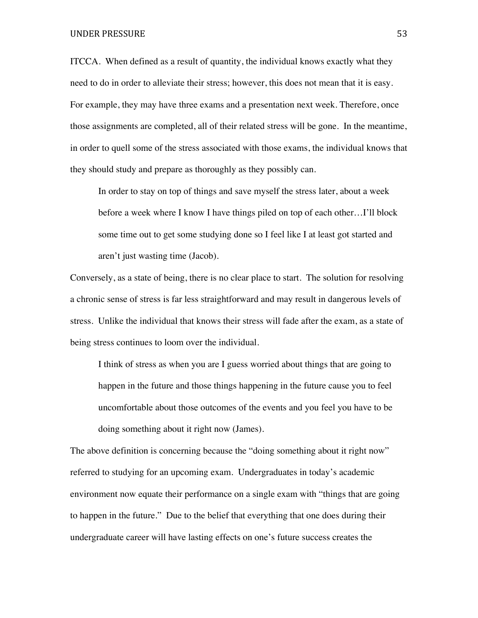#### UNDER PRESSURE 53

ITCCA. When defined as a result of quantity, the individual knows exactly what they need to do in order to alleviate their stress; however, this does not mean that it is easy. For example, they may have three exams and a presentation next week. Therefore, once those assignments are completed, all of their related stress will be gone. In the meantime, in order to quell some of the stress associated with those exams, the individual knows that they should study and prepare as thoroughly as they possibly can.

In order to stay on top of things and save myself the stress later, about a week before a week where I know I have things piled on top of each other…I'll block some time out to get some studying done so I feel like I at least got started and aren't just wasting time (Jacob).

Conversely, as a state of being, there is no clear place to start. The solution for resolving a chronic sense of stress is far less straightforward and may result in dangerous levels of stress. Unlike the individual that knows their stress will fade after the exam, as a state of being stress continues to loom over the individual.

I think of stress as when you are I guess worried about things that are going to happen in the future and those things happening in the future cause you to feel uncomfortable about those outcomes of the events and you feel you have to be doing something about it right now (James).

The above definition is concerning because the "doing something about it right now" referred to studying for an upcoming exam. Undergraduates in today's academic environment now equate their performance on a single exam with "things that are going to happen in the future." Due to the belief that everything that one does during their undergraduate career will have lasting effects on one's future success creates the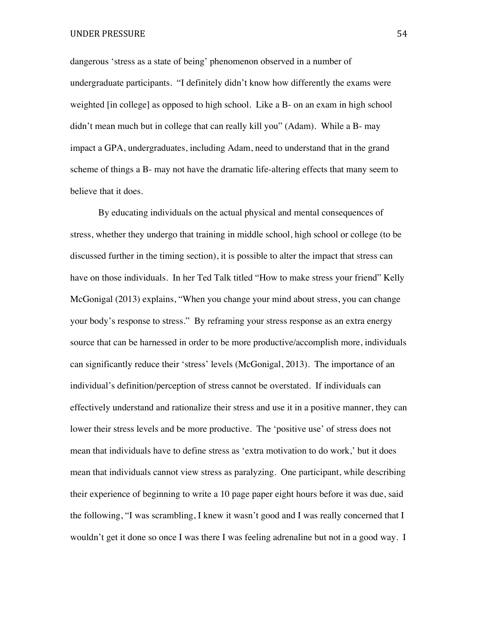dangerous 'stress as a state of being' phenomenon observed in a number of undergraduate participants. "I definitely didn't know how differently the exams were weighted [in college] as opposed to high school. Like a B- on an exam in high school didn't mean much but in college that can really kill you" (Adam). While a B- may impact a GPA, undergraduates, including Adam, need to understand that in the grand scheme of things a B- may not have the dramatic life-altering effects that many seem to believe that it does.

By educating individuals on the actual physical and mental consequences of stress, whether they undergo that training in middle school, high school or college (to be discussed further in the timing section), it is possible to alter the impact that stress can have on those individuals. In her Ted Talk titled "How to make stress your friend" Kelly McGonigal (2013) explains, "When you change your mind about stress, you can change your body's response to stress." By reframing your stress response as an extra energy source that can be harnessed in order to be more productive/accomplish more, individuals can significantly reduce their 'stress' levels (McGonigal, 2013). The importance of an individual's definition/perception of stress cannot be overstated. If individuals can effectively understand and rationalize their stress and use it in a positive manner, they can lower their stress levels and be more productive. The 'positive use' of stress does not mean that individuals have to define stress as 'extra motivation to do work,' but it does mean that individuals cannot view stress as paralyzing. One participant, while describing their experience of beginning to write a 10 page paper eight hours before it was due, said the following, "I was scrambling, I knew it wasn't good and I was really concerned that I wouldn't get it done so once I was there I was feeling adrenaline but not in a good way. I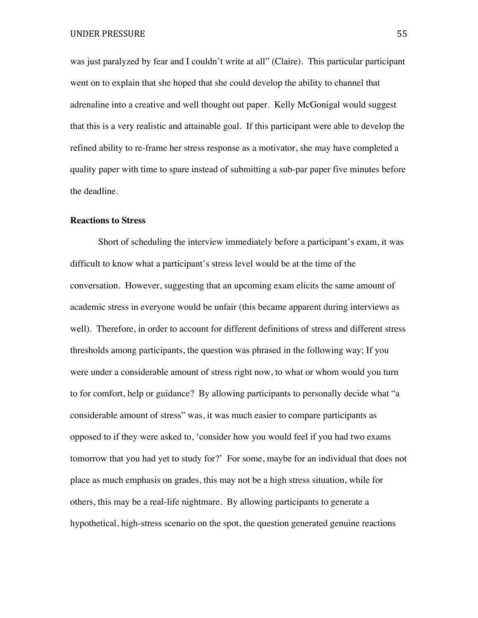was just paralyzed by fear and I couldn't write at all" (Claire). This particular participant went on to explain that she hoped that she could develop the ability to channel that adrenaline into a creative and well thought out paper. Kelly McGonigal would suggest that this is a very realistic and attainable goal. If this participant were able to develop the refined ability to re-frame her stress response as a motivator, she may have completed a quality paper with time to spare instead of submitting a sub-par paper five minutes before the deadline.

## **Reactions to Stress**

Short of scheduling the interview immediately before a participant's exam, it was difficult to know what a participant's stress level would be at the time of the conversation. However, suggesting that an upcoming exam elicits the same amount of academic stress in everyone would be unfair (this became apparent during interviews as well). Therefore, in order to account for different definitions of stress and different stress thresholds among participants, the question was phrased in the following way; If you were under a considerable amount of stress right now, to what or whom would you turn to for comfort, help or guidance? By allowing participants to personally decide what "a considerable amount of stress" was, it was much easier to compare participants as opposed to if they were asked to, 'consider how you would feel if you had two exams tomorrow that you had yet to study for?' For some, maybe for an individual that does not place as much emphasis on grades, this may not be a high stress situation, while for others, this may be a real-life nightmare. By allowing participants to generate a hypothetical, high-stress scenario on the spot, the question generated genuine reactions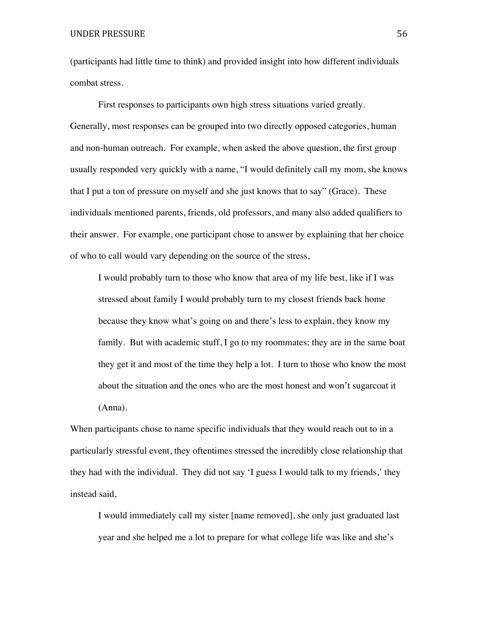(participants had little time to think) and provided insight into how different individuals combat stress.

First responses to participants own high stress situations varied greatly. Generally, most responses can be grouped into two directly opposed categories, human and non-human outreach. For example, when asked the above question, the first group usually responded very quickly with a name, "I would definitely call my mom, she knows that I put a ton of pressure on myself and she just knows that to say" (Grace). These individuals mentioned parents, friends, old professors, and many also added qualifiers to their answer. For example, one participant chose to answer by explaining that her choice of who to call would vary depending on the source of the stress,

I would probably turn to those who know that area of my life best, like if I was stressed about family I would probably turn to my closest friends back home because they know what's going on and there's less to explain, they know my family. But with academic stuff, I go to my roommates; they are in the same boat they get it and most of the time they help a lot. I turn to those who know the most about the situation and the ones who are the most honest and won't sugarcoat it (Anna).

When participants chose to name specific individuals that they would reach out to in a particularly stressful event, they oftentimes stressed the incredibly close relationship that they had with the individual. They did not say 'I guess I would talk to my friends,' they instead said,

I would immediately call my sister [name removed], she only just graduated last year and she helped me a lot to prepare for what college life was like and she's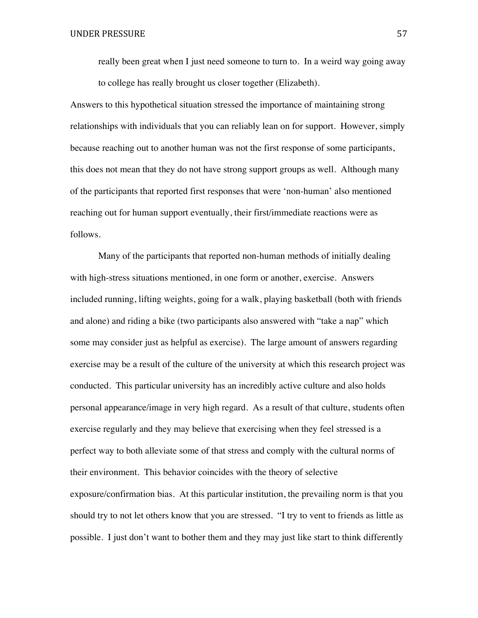really been great when I just need someone to turn to. In a weird way going away to college has really brought us closer together (Elizabeth).

Answers to this hypothetical situation stressed the importance of maintaining strong relationships with individuals that you can reliably lean on for support. However, simply because reaching out to another human was not the first response of some participants, this does not mean that they do not have strong support groups as well. Although many of the participants that reported first responses that were 'non-human' also mentioned reaching out for human support eventually, their first/immediate reactions were as follows.

Many of the participants that reported non-human methods of initially dealing with high-stress situations mentioned, in one form or another, exercise. Answers included running, lifting weights, going for a walk, playing basketball (both with friends and alone) and riding a bike (two participants also answered with "take a nap" which some may consider just as helpful as exercise). The large amount of answers regarding exercise may be a result of the culture of the university at which this research project was conducted. This particular university has an incredibly active culture and also holds personal appearance/image in very high regard. As a result of that culture, students often exercise regularly and they may believe that exercising when they feel stressed is a perfect way to both alleviate some of that stress and comply with the cultural norms of their environment. This behavior coincides with the theory of selective exposure/confirmation bias. At this particular institution, the prevailing norm is that you should try to not let others know that you are stressed. "I try to vent to friends as little as possible. I just don't want to bother them and they may just like start to think differently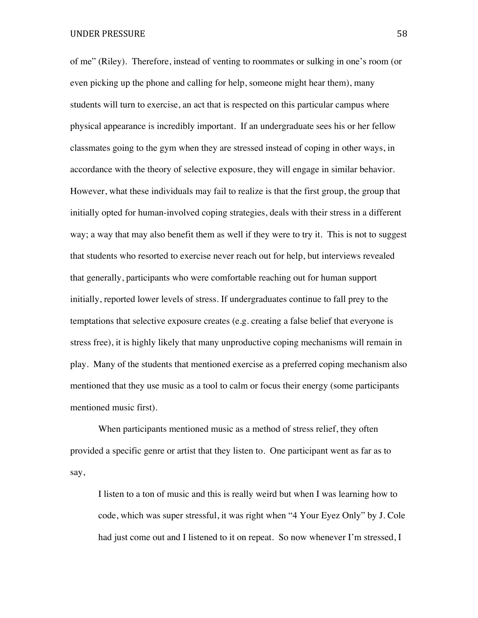of me" (Riley). Therefore, instead of venting to roommates or sulking in one's room (or even picking up the phone and calling for help, someone might hear them), many students will turn to exercise, an act that is respected on this particular campus where physical appearance is incredibly important. If an undergraduate sees his or her fellow classmates going to the gym when they are stressed instead of coping in other ways, in accordance with the theory of selective exposure, they will engage in similar behavior. However, what these individuals may fail to realize is that the first group, the group that initially opted for human-involved coping strategies, deals with their stress in a different way; a way that may also benefit them as well if they were to try it. This is not to suggest that students who resorted to exercise never reach out for help, but interviews revealed that generally, participants who were comfortable reaching out for human support initially, reported lower levels of stress. If undergraduates continue to fall prey to the temptations that selective exposure creates (e.g. creating a false belief that everyone is stress free), it is highly likely that many unproductive coping mechanisms will remain in play. Many of the students that mentioned exercise as a preferred coping mechanism also mentioned that they use music as a tool to calm or focus their energy (some participants mentioned music first).

When participants mentioned music as a method of stress relief, they often provided a specific genre or artist that they listen to. One participant went as far as to say,

I listen to a ton of music and this is really weird but when I was learning how to code, which was super stressful, it was right when "4 Your Eyez Only" by J. Cole had just come out and I listened to it on repeat. So now whenever I'm stressed, I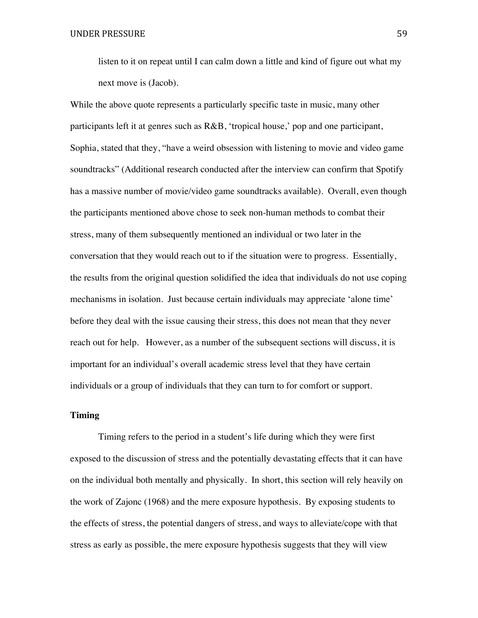listen to it on repeat until I can calm down a little and kind of figure out what my next move is (Jacob).

While the above quote represents a particularly specific taste in music, many other participants left it at genres such as R&B, 'tropical house,' pop and one participant, Sophia, stated that they, "have a weird obsession with listening to movie and video game soundtracks" (Additional research conducted after the interview can confirm that Spotify has a massive number of movie/video game soundtracks available). Overall, even though the participants mentioned above chose to seek non-human methods to combat their stress, many of them subsequently mentioned an individual or two later in the conversation that they would reach out to if the situation were to progress. Essentially, the results from the original question solidified the idea that individuals do not use coping mechanisms in isolation. Just because certain individuals may appreciate 'alone time' before they deal with the issue causing their stress, this does not mean that they never reach out for help. However, as a number of the subsequent sections will discuss, it is important for an individual's overall academic stress level that they have certain individuals or a group of individuals that they can turn to for comfort or support.

# **Timing**

Timing refers to the period in a student's life during which they were first exposed to the discussion of stress and the potentially devastating effects that it can have on the individual both mentally and physically. In short, this section will rely heavily on the work of Zajonc (1968) and the mere exposure hypothesis. By exposing students to the effects of stress, the potential dangers of stress, and ways to alleviate/cope with that stress as early as possible, the mere exposure hypothesis suggests that they will view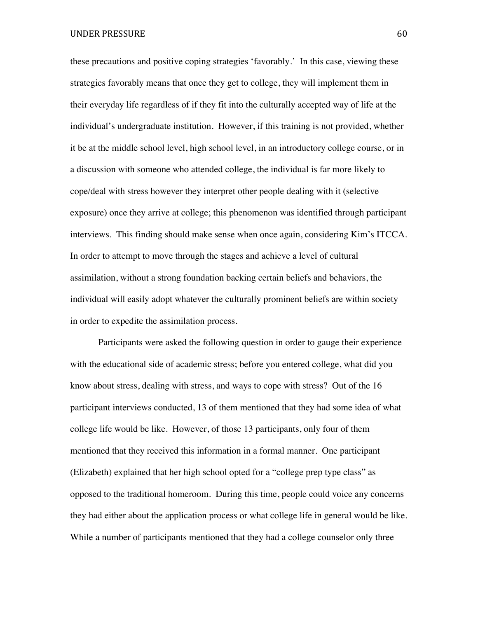UNDER PRESSURE 60

these precautions and positive coping strategies 'favorably.' In this case, viewing these strategies favorably means that once they get to college, they will implement them in their everyday life regardless of if they fit into the culturally accepted way of life at the individual's undergraduate institution. However, if this training is not provided, whether it be at the middle school level, high school level, in an introductory college course, or in a discussion with someone who attended college, the individual is far more likely to cope/deal with stress however they interpret other people dealing with it (selective exposure) once they arrive at college; this phenomenon was identified through participant interviews. This finding should make sense when once again, considering Kim's ITCCA. In order to attempt to move through the stages and achieve a level of cultural assimilation, without a strong foundation backing certain beliefs and behaviors, the individual will easily adopt whatever the culturally prominent beliefs are within society in order to expedite the assimilation process.

Participants were asked the following question in order to gauge their experience with the educational side of academic stress; before you entered college, what did you know about stress, dealing with stress, and ways to cope with stress? Out of the 16 participant interviews conducted, 13 of them mentioned that they had some idea of what college life would be like. However, of those 13 participants, only four of them mentioned that they received this information in a formal manner. One participant (Elizabeth) explained that her high school opted for a "college prep type class" as opposed to the traditional homeroom. During this time, people could voice any concerns they had either about the application process or what college life in general would be like. While a number of participants mentioned that they had a college counselor only three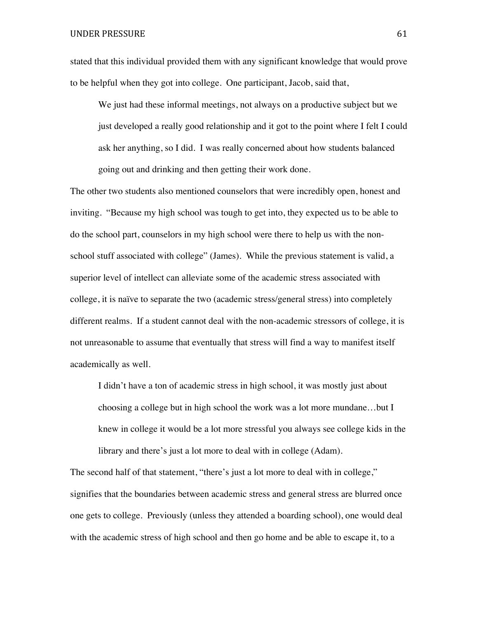stated that this individual provided them with any significant knowledge that would prove to be helpful when they got into college. One participant, Jacob, said that,

We just had these informal meetings, not always on a productive subject but we just developed a really good relationship and it got to the point where I felt I could ask her anything, so I did. I was really concerned about how students balanced going out and drinking and then getting their work done.

The other two students also mentioned counselors that were incredibly open, honest and inviting. "Because my high school was tough to get into, they expected us to be able to do the school part, counselors in my high school were there to help us with the nonschool stuff associated with college" (James). While the previous statement is valid, a superior level of intellect can alleviate some of the academic stress associated with college, it is naïve to separate the two (academic stress/general stress) into completely different realms. If a student cannot deal with the non-academic stressors of college, it is not unreasonable to assume that eventually that stress will find a way to manifest itself academically as well.

I didn't have a ton of academic stress in high school, it was mostly just about choosing a college but in high school the work was a lot more mundane…but I knew in college it would be a lot more stressful you always see college kids in the library and there's just a lot more to deal with in college (Adam).

The second half of that statement, "there's just a lot more to deal with in college," signifies that the boundaries between academic stress and general stress are blurred once one gets to college. Previously (unless they attended a boarding school), one would deal with the academic stress of high school and then go home and be able to escape it, to a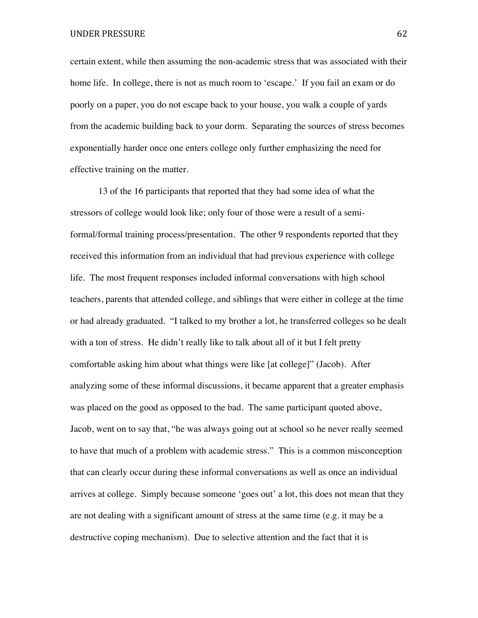certain extent, while then assuming the non-academic stress that was associated with their home life. In college, there is not as much room to 'escape.' If you fail an exam or do poorly on a paper, you do not escape back to your house, you walk a couple of yards from the academic building back to your dorm. Separating the sources of stress becomes exponentially harder once one enters college only further emphasizing the need for effective training on the matter.

13 of the 16 participants that reported that they had some idea of what the stressors of college would look like; only four of those were a result of a semiformal/formal training process/presentation. The other 9 respondents reported that they received this information from an individual that had previous experience with college life. The most frequent responses included informal conversations with high school teachers, parents that attended college, and siblings that were either in college at the time or had already graduated. "I talked to my brother a lot, he transferred colleges so he dealt with a ton of stress. He didn't really like to talk about all of it but I felt pretty comfortable asking him about what things were like [at college]" (Jacob). After analyzing some of these informal discussions, it became apparent that a greater emphasis was placed on the good as opposed to the bad. The same participant quoted above, Jacob, went on to say that, "he was always going out at school so he never really seemed to have that much of a problem with academic stress." This is a common misconception that can clearly occur during these informal conversations as well as once an individual arrives at college. Simply because someone 'goes out' a lot, this does not mean that they are not dealing with a significant amount of stress at the same time (e.g. it may be a destructive coping mechanism). Due to selective attention and the fact that it is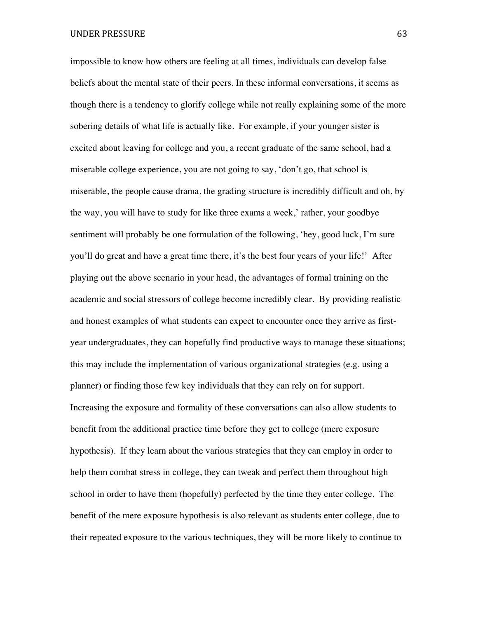impossible to know how others are feeling at all times, individuals can develop false beliefs about the mental state of their peers. In these informal conversations, it seems as though there is a tendency to glorify college while not really explaining some of the more sobering details of what life is actually like. For example, if your younger sister is excited about leaving for college and you, a recent graduate of the same school, had a miserable college experience, you are not going to say, 'don't go, that school is miserable, the people cause drama, the grading structure is incredibly difficult and oh, by the way, you will have to study for like three exams a week,' rather, your goodbye sentiment will probably be one formulation of the following, 'hey, good luck, I'm sure you'll do great and have a great time there, it's the best four years of your life!' After playing out the above scenario in your head, the advantages of formal training on the academic and social stressors of college become incredibly clear. By providing realistic and honest examples of what students can expect to encounter once they arrive as firstyear undergraduates, they can hopefully find productive ways to manage these situations; this may include the implementation of various organizational strategies (e.g. using a planner) or finding those few key individuals that they can rely on for support. Increasing the exposure and formality of these conversations can also allow students to benefit from the additional practice time before they get to college (mere exposure hypothesis). If they learn about the various strategies that they can employ in order to help them combat stress in college, they can tweak and perfect them throughout high school in order to have them (hopefully) perfected by the time they enter college. The benefit of the mere exposure hypothesis is also relevant as students enter college, due to their repeated exposure to the various techniques, they will be more likely to continue to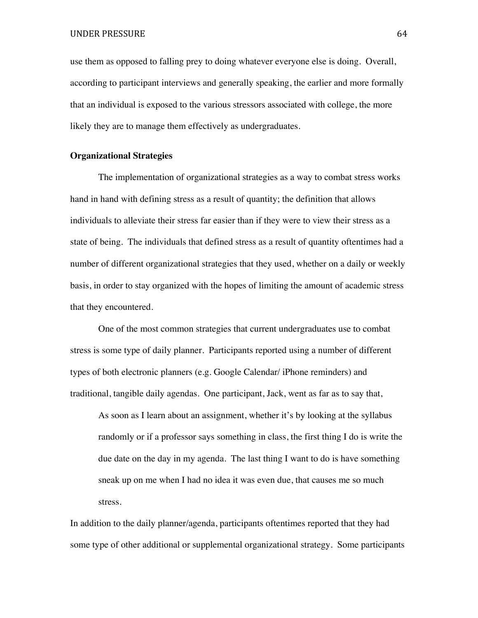UNDER PRESSURE 64

use them as opposed to falling prey to doing whatever everyone else is doing. Overall, according to participant interviews and generally speaking, the earlier and more formally that an individual is exposed to the various stressors associated with college, the more likely they are to manage them effectively as undergraduates.

## **Organizational Strategies**

The implementation of organizational strategies as a way to combat stress works hand in hand with defining stress as a result of quantity; the definition that allows individuals to alleviate their stress far easier than if they were to view their stress as a state of being. The individuals that defined stress as a result of quantity oftentimes had a number of different organizational strategies that they used, whether on a daily or weekly basis, in order to stay organized with the hopes of limiting the amount of academic stress that they encountered.

One of the most common strategies that current undergraduates use to combat stress is some type of daily planner. Participants reported using a number of different types of both electronic planners (e.g. Google Calendar/ iPhone reminders) and traditional, tangible daily agendas. One participant, Jack, went as far as to say that,

As soon as I learn about an assignment, whether it's by looking at the syllabus randomly or if a professor says something in class, the first thing I do is write the due date on the day in my agenda. The last thing I want to do is have something sneak up on me when I had no idea it was even due, that causes me so much stress.

In addition to the daily planner/agenda, participants oftentimes reported that they had some type of other additional or supplemental organizational strategy. Some participants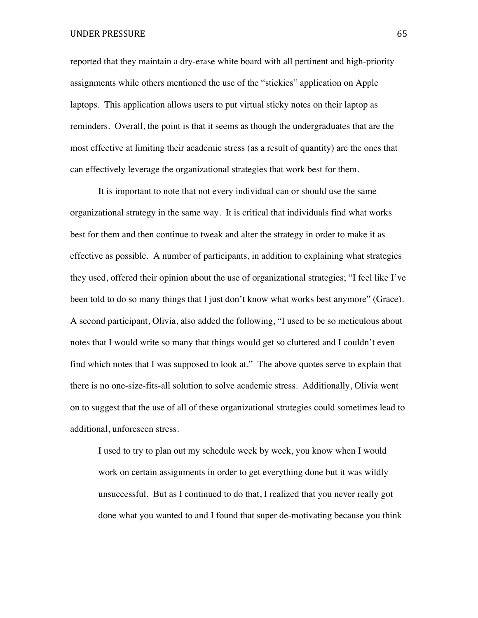## UNDER PRESSURE 65

reported that they maintain a dry-erase white board with all pertinent and high-priority assignments while others mentioned the use of the "stickies" application on Apple laptops. This application allows users to put virtual sticky notes on their laptop as reminders. Overall, the point is that it seems as though the undergraduates that are the most effective at limiting their academic stress (as a result of quantity) are the ones that can effectively leverage the organizational strategies that work best for them.

It is important to note that not every individual can or should use the same organizational strategy in the same way. It is critical that individuals find what works best for them and then continue to tweak and alter the strategy in order to make it as effective as possible. A number of participants, in addition to explaining what strategies they used, offered their opinion about the use of organizational strategies; "I feel like I've been told to do so many things that I just don't know what works best anymore" (Grace). A second participant, Olivia, also added the following, "I used to be so meticulous about notes that I would write so many that things would get so cluttered and I couldn't even find which notes that I was supposed to look at." The above quotes serve to explain that there is no one-size-fits-all solution to solve academic stress. Additionally, Olivia went on to suggest that the use of all of these organizational strategies could sometimes lead to additional, unforeseen stress.

I used to try to plan out my schedule week by week, you know when I would work on certain assignments in order to get everything done but it was wildly unsuccessful. But as I continued to do that, I realized that you never really got done what you wanted to and I found that super de-motivating because you think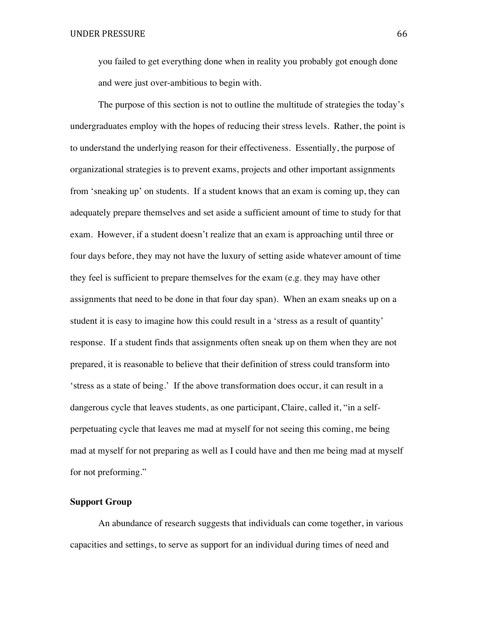you failed to get everything done when in reality you probably got enough done and were just over-ambitious to begin with.

The purpose of this section is not to outline the multitude of strategies the today's undergraduates employ with the hopes of reducing their stress levels. Rather, the point is to understand the underlying reason for their effectiveness. Essentially, the purpose of organizational strategies is to prevent exams, projects and other important assignments from 'sneaking up' on students. If a student knows that an exam is coming up, they can adequately prepare themselves and set aside a sufficient amount of time to study for that exam. However, if a student doesn't realize that an exam is approaching until three or four days before, they may not have the luxury of setting aside whatever amount of time they feel is sufficient to prepare themselves for the exam (e.g. they may have other assignments that need to be done in that four day span). When an exam sneaks up on a student it is easy to imagine how this could result in a 'stress as a result of quantity' response. If a student finds that assignments often sneak up on them when they are not prepared, it is reasonable to believe that their definition of stress could transform into 'stress as a state of being.' If the above transformation does occur, it can result in a dangerous cycle that leaves students, as one participant, Claire, called it, "in a selfperpetuating cycle that leaves me mad at myself for not seeing this coming, me being mad at myself for not preparing as well as I could have and then me being mad at myself for not preforming."

# **Support Group**

An abundance of research suggests that individuals can come together, in various capacities and settings, to serve as support for an individual during times of need and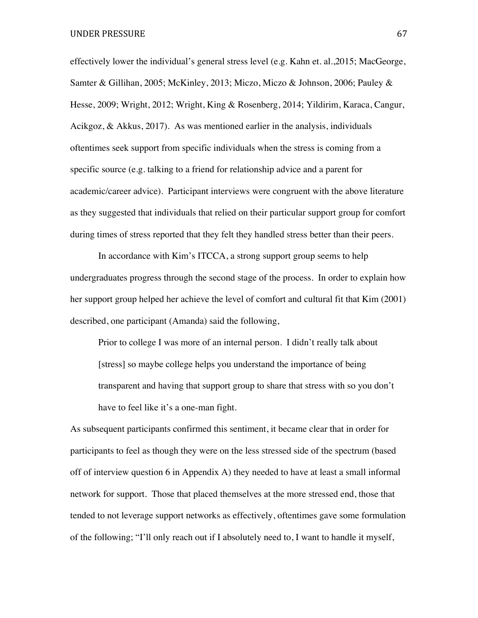UNDER PRESSURE 67

effectively lower the individual's general stress level (e.g. Kahn et. al.,2015; MacGeorge, Samter & Gillihan, 2005; McKinley, 2013; Miczo, Miczo & Johnson, 2006; Pauley & Hesse, 2009; Wright, 2012; Wright, King & Rosenberg, 2014; Yildirim, Karaca, Cangur, Acikgoz, & Akkus, 2017). As was mentioned earlier in the analysis, individuals oftentimes seek support from specific individuals when the stress is coming from a specific source (e.g. talking to a friend for relationship advice and a parent for academic/career advice). Participant interviews were congruent with the above literature as they suggested that individuals that relied on their particular support group for comfort during times of stress reported that they felt they handled stress better than their peers.

In accordance with Kim's ITCCA, a strong support group seems to help undergraduates progress through the second stage of the process. In order to explain how her support group helped her achieve the level of comfort and cultural fit that Kim (2001) described, one participant (Amanda) said the following,

Prior to college I was more of an internal person. I didn't really talk about [stress] so maybe college helps you understand the importance of being transparent and having that support group to share that stress with so you don't have to feel like it's a one-man fight.

As subsequent participants confirmed this sentiment, it became clear that in order for participants to feel as though they were on the less stressed side of the spectrum (based off of interview question 6 in Appendix A) they needed to have at least a small informal network for support. Those that placed themselves at the more stressed end, those that tended to not leverage support networks as effectively, oftentimes gave some formulation of the following; "I'll only reach out if I absolutely need to, I want to handle it myself,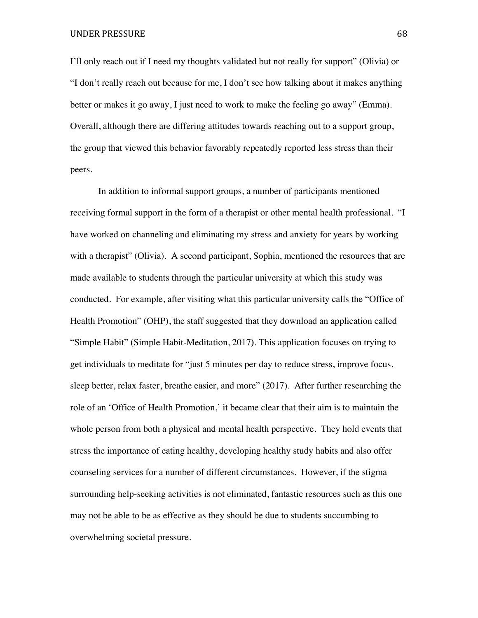UNDER PRESSURE 68

I'll only reach out if I need my thoughts validated but not really for support" (Olivia) or "I don't really reach out because for me, I don't see how talking about it makes anything better or makes it go away, I just need to work to make the feeling go away" (Emma). Overall, although there are differing attitudes towards reaching out to a support group, the group that viewed this behavior favorably repeatedly reported less stress than their peers.

In addition to informal support groups, a number of participants mentioned receiving formal support in the form of a therapist or other mental health professional. "I have worked on channeling and eliminating my stress and anxiety for years by working with a therapist" (Olivia). A second participant, Sophia, mentioned the resources that are made available to students through the particular university at which this study was conducted. For example, after visiting what this particular university calls the "Office of Health Promotion" (OHP), the staff suggested that they download an application called "Simple Habit" (Simple Habit-Meditation, 2017**)**. This application focuses on trying to get individuals to meditate for "just 5 minutes per day to reduce stress, improve focus, sleep better, relax faster, breathe easier, and more" (2017). After further researching the role of an 'Office of Health Promotion,' it became clear that their aim is to maintain the whole person from both a physical and mental health perspective. They hold events that stress the importance of eating healthy, developing healthy study habits and also offer counseling services for a number of different circumstances. However, if the stigma surrounding help-seeking activities is not eliminated, fantastic resources such as this one may not be able to be as effective as they should be due to students succumbing to overwhelming societal pressure.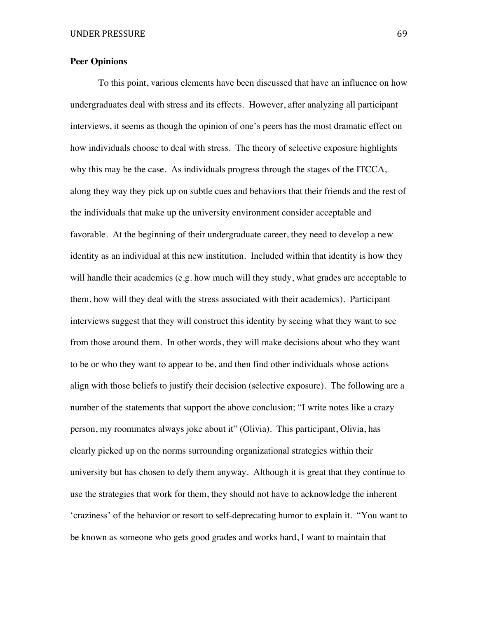# **Peer Opinions**

To this point, various elements have been discussed that have an influence on how undergraduates deal with stress and its effects. However, after analyzing all participant interviews, it seems as though the opinion of one's peers has the most dramatic effect on how individuals choose to deal with stress. The theory of selective exposure highlights why this may be the case. As individuals progress through the stages of the ITCCA, along they way they pick up on subtle cues and behaviors that their friends and the rest of the individuals that make up the university environment consider acceptable and favorable. At the beginning of their undergraduate career, they need to develop a new identity as an individual at this new institution. Included within that identity is how they will handle their academics (e.g. how much will they study, what grades are acceptable to them, how will they deal with the stress associated with their academics). Participant interviews suggest that they will construct this identity by seeing what they want to see from those around them. In other words, they will make decisions about who they want to be or who they want to appear to be, and then find other individuals whose actions align with those beliefs to justify their decision (selective exposure). The following are a number of the statements that support the above conclusion; "I write notes like a crazy person, my roommates always joke about it" (Olivia). This participant, Olivia, has clearly picked up on the norms surrounding organizational strategies within their university but has chosen to defy them anyway. Although it is great that they continue to use the strategies that work for them, they should not have to acknowledge the inherent 'craziness' of the behavior or resort to self-deprecating humor to explain it. "You want to be known as someone who gets good grades and works hard, I want to maintain that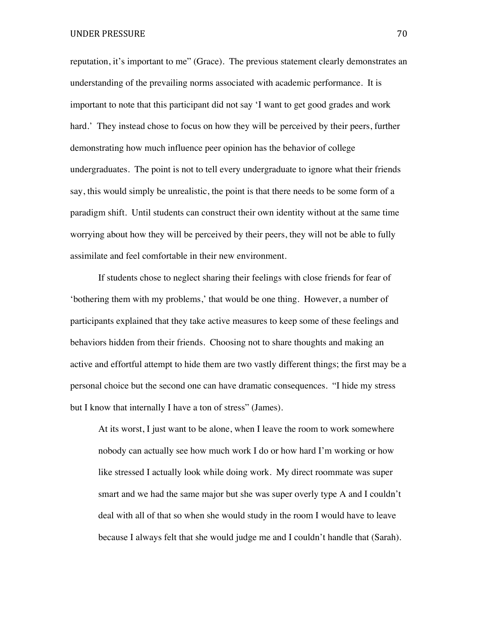reputation, it's important to me" (Grace). The previous statement clearly demonstrates an understanding of the prevailing norms associated with academic performance. It is important to note that this participant did not say 'I want to get good grades and work hard.' They instead chose to focus on how they will be perceived by their peers, further demonstrating how much influence peer opinion has the behavior of college undergraduates. The point is not to tell every undergraduate to ignore what their friends say, this would simply be unrealistic, the point is that there needs to be some form of a paradigm shift. Until students can construct their own identity without at the same time worrying about how they will be perceived by their peers, they will not be able to fully assimilate and feel comfortable in their new environment.

If students chose to neglect sharing their feelings with close friends for fear of 'bothering them with my problems,' that would be one thing. However, a number of participants explained that they take active measures to keep some of these feelings and behaviors hidden from their friends. Choosing not to share thoughts and making an active and effortful attempt to hide them are two vastly different things; the first may be a personal choice but the second one can have dramatic consequences. "I hide my stress but I know that internally I have a ton of stress" (James).

At its worst, I just want to be alone, when I leave the room to work somewhere nobody can actually see how much work I do or how hard I'm working or how like stressed I actually look while doing work. My direct roommate was super smart and we had the same major but she was super overly type A and I couldn't deal with all of that so when she would study in the room I would have to leave because I always felt that she would judge me and I couldn't handle that (Sarah).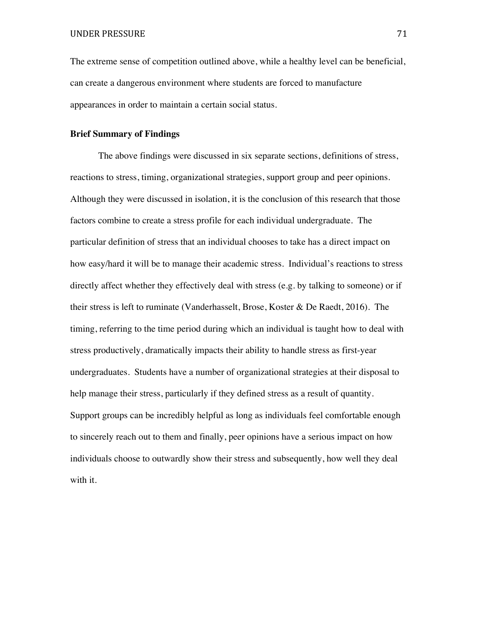The extreme sense of competition outlined above, while a healthy level can be beneficial, can create a dangerous environment where students are forced to manufacture appearances in order to maintain a certain social status.

## **Brief Summary of Findings**

The above findings were discussed in six separate sections, definitions of stress, reactions to stress, timing, organizational strategies, support group and peer opinions. Although they were discussed in isolation, it is the conclusion of this research that those factors combine to create a stress profile for each individual undergraduate. The particular definition of stress that an individual chooses to take has a direct impact on how easy/hard it will be to manage their academic stress. Individual's reactions to stress directly affect whether they effectively deal with stress (e.g. by talking to someone) or if their stress is left to ruminate (Vanderhasselt, Brose, Koster & De Raedt, 2016). The timing, referring to the time period during which an individual is taught how to deal with stress productively, dramatically impacts their ability to handle stress as first-year undergraduates. Students have a number of organizational strategies at their disposal to help manage their stress, particularly if they defined stress as a result of quantity. Support groups can be incredibly helpful as long as individuals feel comfortable enough to sincerely reach out to them and finally, peer opinions have a serious impact on how individuals choose to outwardly show their stress and subsequently, how well they deal with it.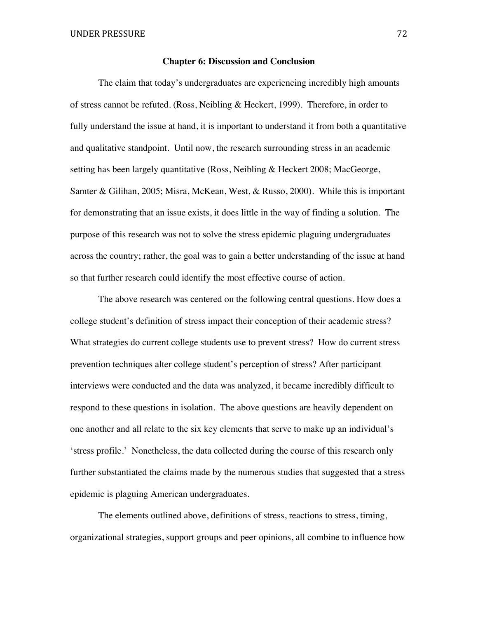## **Chapter 6: Discussion and Conclusion**

The claim that today's undergraduates are experiencing incredibly high amounts of stress cannot be refuted. (Ross, Neibling & Heckert, 1999). Therefore, in order to fully understand the issue at hand, it is important to understand it from both a quantitative and qualitative standpoint. Until now, the research surrounding stress in an academic setting has been largely quantitative (Ross, Neibling & Heckert 2008; MacGeorge, Samter & Gilihan, 2005; Misra, McKean, West, & Russo, 2000). While this is important for demonstrating that an issue exists, it does little in the way of finding a solution. The purpose of this research was not to solve the stress epidemic plaguing undergraduates across the country; rather, the goal was to gain a better understanding of the issue at hand so that further research could identify the most effective course of action.

The above research was centered on the following central questions. How does a college student's definition of stress impact their conception of their academic stress? What strategies do current college students use to prevent stress? How do current stress prevention techniques alter college student's perception of stress? After participant interviews were conducted and the data was analyzed, it became incredibly difficult to respond to these questions in isolation. The above questions are heavily dependent on one another and all relate to the six key elements that serve to make up an individual's 'stress profile.' Nonetheless, the data collected during the course of this research only further substantiated the claims made by the numerous studies that suggested that a stress epidemic is plaguing American undergraduates.

The elements outlined above, definitions of stress, reactions to stress, timing, organizational strategies, support groups and peer opinions, all combine to influence how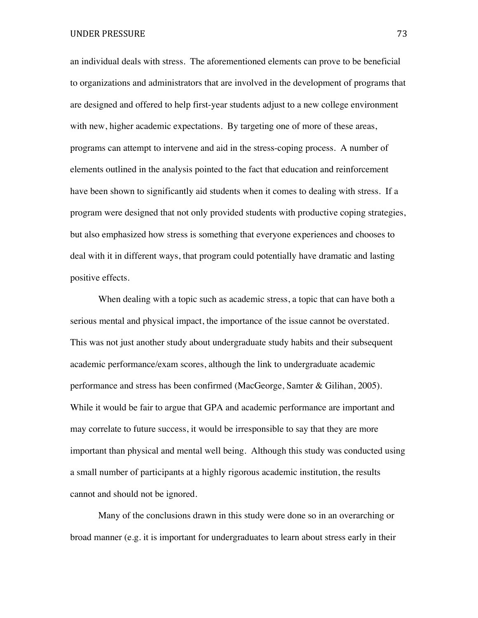an individual deals with stress. The aforementioned elements can prove to be beneficial to organizations and administrators that are involved in the development of programs that are designed and offered to help first-year students adjust to a new college environment with new, higher academic expectations. By targeting one of more of these areas, programs can attempt to intervene and aid in the stress-coping process. A number of elements outlined in the analysis pointed to the fact that education and reinforcement have been shown to significantly aid students when it comes to dealing with stress. If a program were designed that not only provided students with productive coping strategies, but also emphasized how stress is something that everyone experiences and chooses to deal with it in different ways, that program could potentially have dramatic and lasting positive effects.

When dealing with a topic such as academic stress, a topic that can have both a serious mental and physical impact, the importance of the issue cannot be overstated. This was not just another study about undergraduate study habits and their subsequent academic performance/exam scores, although the link to undergraduate academic performance and stress has been confirmed (MacGeorge, Samter & Gilihan, 2005). While it would be fair to argue that GPA and academic performance are important and may correlate to future success, it would be irresponsible to say that they are more important than physical and mental well being. Although this study was conducted using a small number of participants at a highly rigorous academic institution, the results cannot and should not be ignored.

Many of the conclusions drawn in this study were done so in an overarching or broad manner (e.g. it is important for undergraduates to learn about stress early in their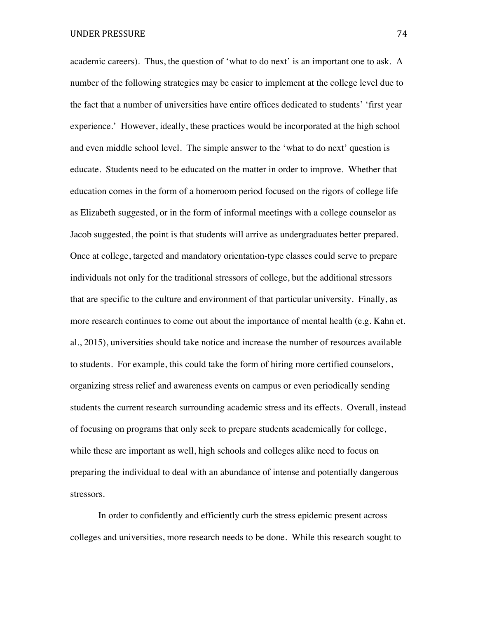academic careers). Thus, the question of 'what to do next' is an important one to ask. A number of the following strategies may be easier to implement at the college level due to the fact that a number of universities have entire offices dedicated to students' 'first year experience.' However, ideally, these practices would be incorporated at the high school and even middle school level. The simple answer to the 'what to do next' question is educate. Students need to be educated on the matter in order to improve. Whether that education comes in the form of a homeroom period focused on the rigors of college life as Elizabeth suggested, or in the form of informal meetings with a college counselor as Jacob suggested, the point is that students will arrive as undergraduates better prepared. Once at college, targeted and mandatory orientation-type classes could serve to prepare individuals not only for the traditional stressors of college, but the additional stressors that are specific to the culture and environment of that particular university. Finally, as more research continues to come out about the importance of mental health (e.g. Kahn et. al., 2015), universities should take notice and increase the number of resources available to students. For example, this could take the form of hiring more certified counselors, organizing stress relief and awareness events on campus or even periodically sending students the current research surrounding academic stress and its effects. Overall, instead of focusing on programs that only seek to prepare students academically for college, while these are important as well, high schools and colleges alike need to focus on preparing the individual to deal with an abundance of intense and potentially dangerous stressors.

In order to confidently and efficiently curb the stress epidemic present across colleges and universities, more research needs to be done. While this research sought to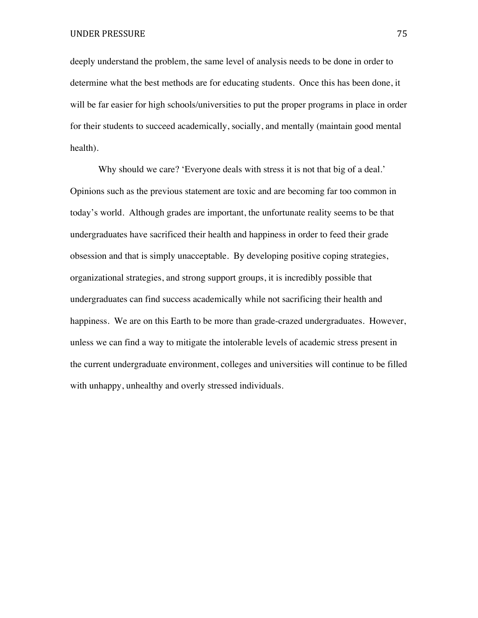deeply understand the problem, the same level of analysis needs to be done in order to determine what the best methods are for educating students. Once this has been done, it will be far easier for high schools/universities to put the proper programs in place in order for their students to succeed academically, socially, and mentally (maintain good mental health).

Why should we care? 'Everyone deals with stress it is not that big of a deal.' Opinions such as the previous statement are toxic and are becoming far too common in today's world. Although grades are important, the unfortunate reality seems to be that undergraduates have sacrificed their health and happiness in order to feed their grade obsession and that is simply unacceptable. By developing positive coping strategies, organizational strategies, and strong support groups, it is incredibly possible that undergraduates can find success academically while not sacrificing their health and happiness. We are on this Earth to be more than grade-crazed undergraduates. However, unless we can find a way to mitigate the intolerable levels of academic stress present in the current undergraduate environment, colleges and universities will continue to be filled with unhappy, unhealthy and overly stressed individuals.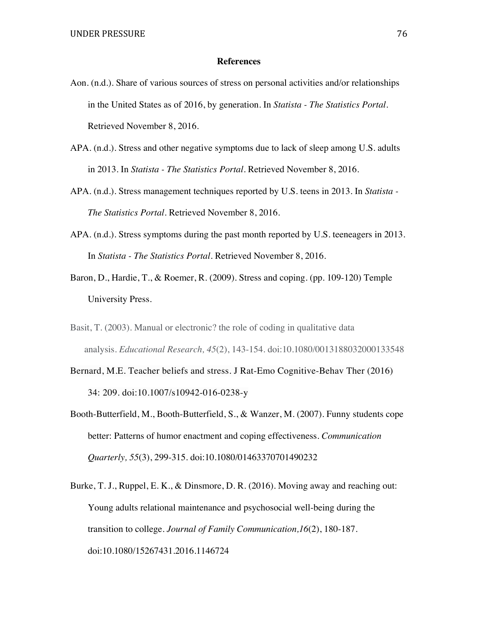## **References**

- Aon. (n.d.). Share of various sources of stress on personal activities and/or relationships in the United States as of 2016, by generation. In *Statista - The Statistics Portal*. Retrieved November 8, 2016.
- APA. (n.d.). Stress and other negative symptoms due to lack of sleep among U.S. adults in 2013. In *Statista - The Statistics Portal*. Retrieved November 8, 2016.
- APA. (n.d.). Stress management techniques reported by U.S. teens in 2013. In *Statista - The Statistics Portal*. Retrieved November 8, 2016.
- APA. (n.d.). Stress symptoms during the past month reported by U.S. teeneagers in 2013. In *Statista - The Statistics Portal*. Retrieved November 8, 2016.
- Baron, D., Hardie, T., & Roemer, R. (2009). Stress and coping. (pp. 109-120) Temple University Press.
- Basit, T. (2003). Manual or electronic? the role of coding in qualitative data analysis. *Educational Research, 45*(2), 143-154. doi:10.1080/0013188032000133548
- Bernard, M.E. Teacher beliefs and stress. J Rat-Emo Cognitive-Behav Ther (2016) 34: 209. doi:10.1007/s10942-016-0238-y
- Booth-Butterfield, M., Booth-Butterfield, S., & Wanzer, M. (2007). Funny students cope better: Patterns of humor enactment and coping effectiveness. *Communication Quarterly, 55*(3), 299-315. doi:10.1080/01463370701490232
- Burke, T. J., Ruppel, E. K., & Dinsmore, D. R. (2016). Moving away and reaching out: Young adults relational maintenance and psychosocial well-being during the transition to college. *Journal of Family Communication,16*(2), 180-187. doi:10.1080/15267431.2016.1146724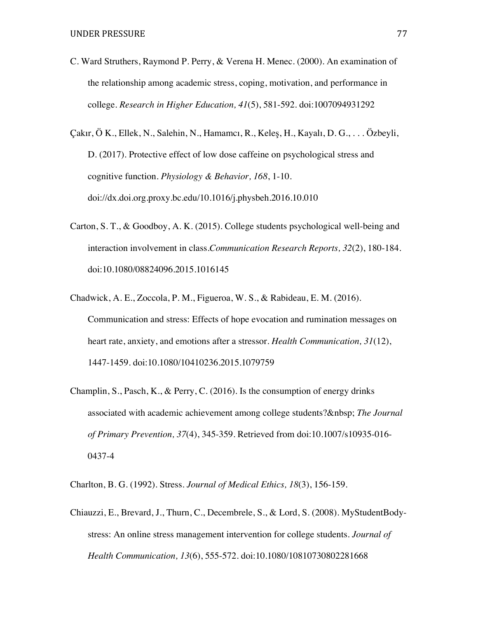- C. Ward Struthers, Raymond P. Perry, & Verena H. Menec. (2000). An examination of the relationship among academic stress, coping, motivation, and performance in college. *Research in Higher Education, 41*(5), 581-592. doi:1007094931292
- Çakır, Ö K., Ellek, N., Salehin, N., Hamamcı, R., Keleş, H., Kayalı, D. G., . . . Özbeyli, D. (2017). Protective effect of low dose caffeine on psychological stress and cognitive function. *Physiology & Behavior, 168*, 1-10. doi://dx.doi.org.proxy.bc.edu/10.1016/j.physbeh.2016.10.010
- Carton, S. T., & Goodboy, A. K. (2015). College students psychological well-being and interaction involvement in class.*Communication Research Reports, 32*(2), 180-184. doi:10.1080/08824096.2015.1016145
- Chadwick, A. E., Zoccola, P. M., Figueroa, W. S., & Rabideau, E. M. (2016). Communication and stress: Effects of hope evocation and rumination messages on heart rate, anxiety, and emotions after a stressor. *Health Communication, 31*(12), 1447-1459. doi:10.1080/10410236.2015.1079759
- Champlin, S., Pasch, K., & Perry, C. (2016). Is the consumption of energy drinks associated with academic achievement among college students? *The Journal of Primary Prevention, 37*(4), 345-359. Retrieved from doi:10.1007/s10935-016- 0437-4
- Charlton, B. G. (1992). Stress. *Journal of Medical Ethics, 18*(3), 156-159.
- Chiauzzi, E., Brevard, J., Thurn, C., Decembrele, S., & Lord, S. (2008). MyStudentBodystress: An online stress management intervention for college students. *Journal of Health Communication, 13*(6), 555-572. doi:10.1080/10810730802281668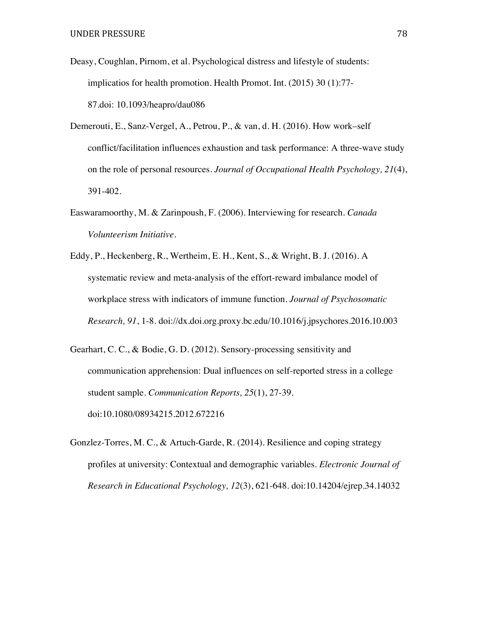- Deasy, Coughlan, Pirnom, et al. Psychological distress and lifestyle of students: implicatios for health promotion. Health Promot. Int. (2015) 30 (1):77- 87.doi: 10.1093/heapro/dau086
- Demerouti, E., Sanz-Vergel, A., Petrou, P., & van, d. H. (2016). How work–self conflict/facilitation influences exhaustion and task performance: A three-wave study on the role of personal resources. *Journal of Occupational Health Psychology, 21*(4), 391-402.
- Easwaramoorthy, M. & Zarinpoush, F. (2006). Interviewing for research. *Canada Volunteerism Initiative.*
- Eddy, P., Heckenberg, R., Wertheim, E. H., Kent, S., & Wright, B. J. (2016). A systematic review and meta-analysis of the effort-reward imbalance model of workplace stress with indicators of immune function. *Journal of Psychosomatic Research, 91*, 1-8. doi://dx.doi.org.proxy.bc.edu/10.1016/j.jpsychores.2016.10.003
- Gearhart, C. C., & Bodie, G. D. (2012). Sensory-processing sensitivity and communication apprehension: Dual influences on self-reported stress in a college student sample. *Communication Reports, 25*(1), 27-39. doi:10.1080/08934215.2012.672216
- Gonzlez-Torres, M. C., & Artuch-Garde, R. (2014). Resilience and coping strategy profiles at university: Contextual and demographic variables. *Electronic Journal of Research in Educational Psychology, 12*(3), 621-648. doi:10.14204/ejrep.34.14032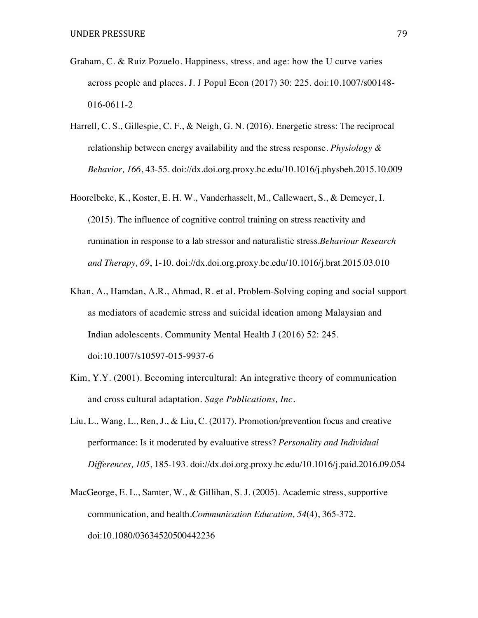- Graham, C. & Ruiz Pozuelo. Happiness, stress, and age: how the U curve varies across people and places. J. J Popul Econ (2017) 30: 225. doi:10.1007/s00148- 016-0611-2
- Harrell, C. S., Gillespie, C. F., & Neigh, G. N. (2016). Energetic stress: The reciprocal relationship between energy availability and the stress response. *Physiology & Behavior, 166*, 43-55. doi://dx.doi.org.proxy.bc.edu/10.1016/j.physbeh.2015.10.009
- Hoorelbeke, K., Koster, E. H. W., Vanderhasselt, M., Callewaert, S., & Demeyer, I. (2015). The influence of cognitive control training on stress reactivity and rumination in response to a lab stressor and naturalistic stress.*Behaviour Research and Therapy, 69*, 1-10. doi://dx.doi.org.proxy.bc.edu/10.1016/j.brat.2015.03.010
- Khan, A., Hamdan, A.R., Ahmad, R. et al. Problem-Solving coping and social support as mediators of academic stress and suicidal ideation among Malaysian and Indian adolescents. Community Mental Health J (2016) 52: 245. doi:10.1007/s10597-015-9937-6
- Kim, Y.Y. (2001). Becoming intercultural: An integrative theory of communication and cross cultural adaptation. *Sage Publications, Inc.*
- Liu, L., Wang, L., Ren, J., & Liu, C. (2017). Promotion/prevention focus and creative performance: Is it moderated by evaluative stress? *Personality and Individual Differences, 105*, 185-193. doi://dx.doi.org.proxy.bc.edu/10.1016/j.paid.2016.09.054
- MacGeorge, E. L., Samter, W., & Gillihan, S. J. (2005). Academic stress, supportive communication, and health.*Communication Education, 54*(4), 365-372. doi:10.1080/03634520500442236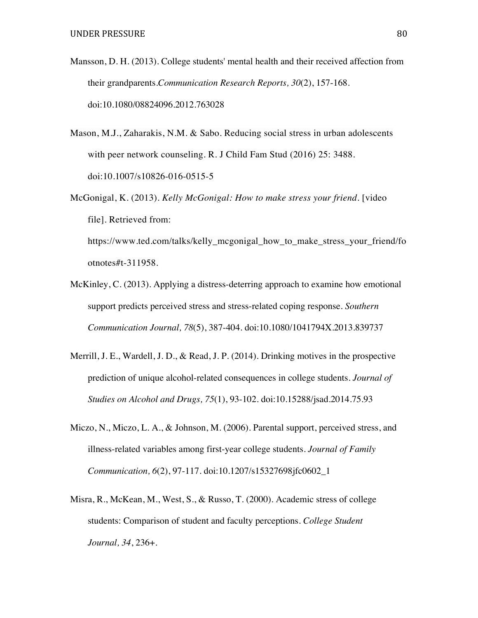- Mansson, D. H. (2013). College students' mental health and their received affection from their grandparents.*Communication Research Reports, 30*(2), 157-168. doi:10.1080/08824096.2012.763028
- Mason, M.J., Zaharakis, N.M. & Sabo. Reducing social stress in urban adolescents with peer network counseling. R. J Child Fam Stud (2016) 25: 3488. doi:10.1007/s10826-016-0515-5
- McGonigal, K. (2013). *Kelly McGonigal: How to make stress your friend.* [video file]. Retrieved from: https://www.ted.com/talks/kelly\_mcgonigal\_how\_to\_make\_stress\_your\_friend/fo

otnotes#t-311958.

- McKinley, C. (2013). Applying a distress-deterring approach to examine how emotional support predicts perceived stress and stress-related coping response. *Southern Communication Journal, 78*(5), 387-404. doi:10.1080/1041794X.2013.839737
- Merrill, J. E., Wardell, J. D., & Read, J. P. (2014). Drinking motives in the prospective prediction of unique alcohol-related consequences in college students. *Journal of Studies on Alcohol and Drugs, 75*(1), 93-102. doi:10.15288/jsad.2014.75.93
- Miczo, N., Miczo, L. A., & Johnson, M. (2006). Parental support, perceived stress, and illness-related variables among first-year college students. *Journal of Family Communication, 6*(2), 97-117. doi:10.1207/s15327698jfc0602\_1
- Misra, R., McKean, M., West, S., & Russo, T. (2000). Academic stress of college students: Comparison of student and faculty perceptions. *College Student Journal, 34*, 236+.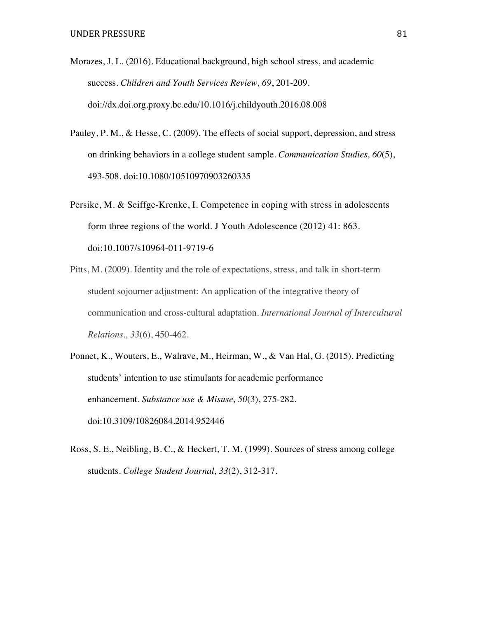- Morazes, J. L. (2016). Educational background, high school stress, and academic success. *Children and Youth Services Review, 69*, 201-209. doi://dx.doi.org.proxy.bc.edu/10.1016/j.childyouth.2016.08.008
- Pauley, P. M., & Hesse, C. (2009). The effects of social support, depression, and stress on drinking behaviors in a college student sample. *Communication Studies, 60*(5), 493-508. doi:10.1080/10510970903260335
- Persike, M. & Seiffge-Krenke, I. Competence in coping with stress in adolescents form three regions of the world. J Youth Adolescence (2012) 41: 863. doi:10.1007/s10964-011-9719-6
- Pitts, M. (2009). Identity and the role of expectations, stress, and talk in short-term student sojourner adjustment: An application of the integrative theory of communication and cross-cultural adaptation. *International Journal of Intercultural Relations., 33*(6), 450-462.
- Ponnet, K., Wouters, E., Walrave, M., Heirman, W., & Van Hal, G. (2015). Predicting students' intention to use stimulants for academic performance enhancement. *Substance use & Misuse, 50*(3), 275-282. doi:10.3109/10826084.2014.952446
- Ross, S. E., Neibling, B. C., & Heckert, T. M. (1999). Sources of stress among college students. *College Student Journal, 33*(2), 312-317.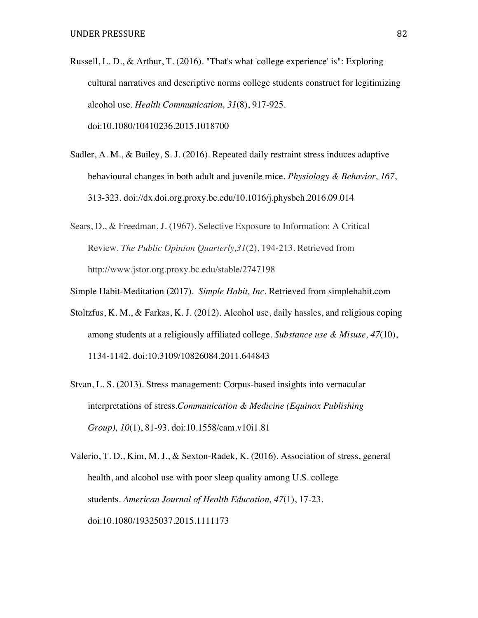- Russell, L. D., & Arthur, T. (2016). "That's what 'college experience' is": Exploring cultural narratives and descriptive norms college students construct for legitimizing alcohol use. *Health Communication, 31*(8), 917-925. doi:10.1080/10410236.2015.1018700
- Sadler, A. M., & Bailey, S. J. (2016). Repeated daily restraint stress induces adaptive behavioural changes in both adult and juvenile mice. *Physiology & Behavior, 167*, 313-323. doi://dx.doi.org.proxy.bc.edu/10.1016/j.physbeh.2016.09.014
- Sears, D., & Freedman, J. (1967). Selective Exposure to Information: A Critical Review. *The Public Opinion Quarterly,31*(2), 194-213. Retrieved from http://www.jstor.org.proxy.bc.edu/stable/2747198
- Simple Habit-Meditation (2017). *Simple Habit, Inc.* Retrieved from simplehabit.com
- Stoltzfus, K. M., & Farkas, K. J. (2012). Alcohol use, daily hassles, and religious coping among students at a religiously affiliated college. *Substance use & Misuse, 47*(10), 1134-1142. doi:10.3109/10826084.2011.644843
- Stvan, L. S. (2013). Stress management: Corpus-based insights into vernacular interpretations of stress.*Communication & Medicine (Equinox Publishing Group), 10*(1), 81-93. doi:10.1558/cam.v10i1.81
- Valerio, T. D., Kim, M. J., & Sexton-Radek, K. (2016). Association of stress, general health, and alcohol use with poor sleep quality among U.S. college students. *American Journal of Health Education, 47*(1), 17-23. doi:10.1080/19325037.2015.1111173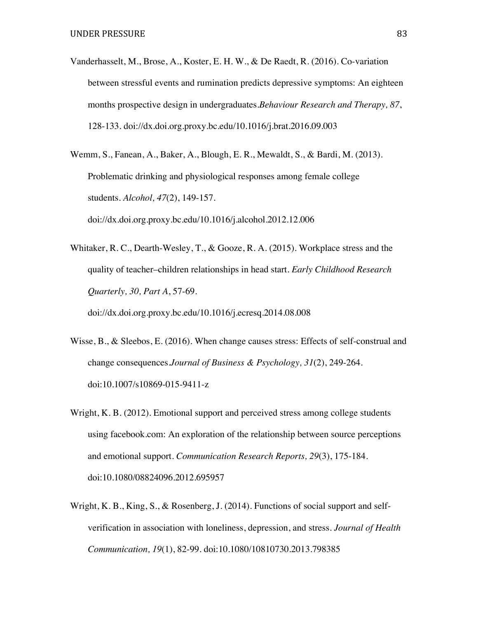Vanderhasselt, M., Brose, A., Koster, E. H. W., & De Raedt, R. (2016). Co-variation between stressful events and rumination predicts depressive symptoms: An eighteen months prospective design in undergraduates.*Behaviour Research and Therapy, 87*, 128-133. doi://dx.doi.org.proxy.bc.edu/10.1016/j.brat.2016.09.003

Wemm, S., Fanean, A., Baker, A., Blough, E. R., Mewaldt, S., & Bardi, M. (2013). Problematic drinking and physiological responses among female college students. *Alcohol, 47*(2), 149-157. doi://dx.doi.org.proxy.bc.edu/10.1016/j.alcohol.2012.12.006

Whitaker, R. C., Dearth-Wesley, T., & Gooze, R. A. (2015). Workplace stress and the quality of teacher–children relationships in head start. *Early Childhood Research Quarterly, 30, Part A*, 57-69. doi://dx.doi.org.proxy.bc.edu/10.1016/j.ecresq.2014.08.008

- Wisse, B., & Sleebos, E. (2016). When change causes stress: Effects of self-construal and change consequences.*Journal of Business & Psychology, 31*(2), 249-264. doi:10.1007/s10869-015-9411-z
- Wright, K. B. (2012). Emotional support and perceived stress among college students using facebook.com: An exploration of the relationship between source perceptions and emotional support. *Communication Research Reports, 29*(3), 175-184. doi:10.1080/08824096.2012.695957
- Wright, K. B., King, S., & Rosenberg, J. (2014). Functions of social support and selfverification in association with loneliness, depression, and stress. *Journal of Health Communication, 19*(1), 82-99. doi:10.1080/10810730.2013.798385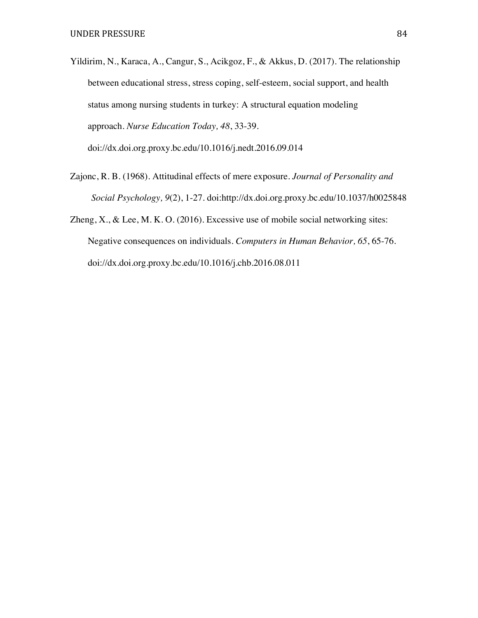- Yildirim, N., Karaca, A., Cangur, S., Acikgoz, F., & Akkus, D. (2017). The relationship between educational stress, stress coping, self-esteem, social support, and health status among nursing students in turkey: A structural equation modeling approach. *Nurse Education Today, 48*, 33-39. doi://dx.doi.org.proxy.bc.edu/10.1016/j.nedt.2016.09.014
- Zajonc, R. B. (1968). Attitudinal effects of mere exposure. *Journal of Personality and Social Psychology, 9*(2), 1-27. doi:http://dx.doi.org.proxy.bc.edu/10.1037/h0025848
- Zheng, X., & Lee, M. K. O. (2016). Excessive use of mobile social networking sites: Negative consequences on individuals. *Computers in Human Behavior, 65*, 65-76. doi://dx.doi.org.proxy.bc.edu/10.1016/j.chb.2016.08.011